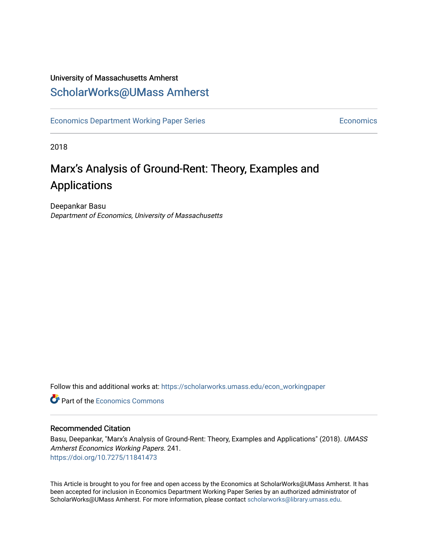## University of Massachusetts Amherst [ScholarWorks@UMass Amherst](https://scholarworks.umass.edu/)

[Economics Department Working Paper Series](https://scholarworks.umass.edu/econ_workingpaper) **Economics** Economics

2018

# Marx's Analysis of Ground-Rent: Theory, Examples and Applications

Deepankar Basu Department of Economics, University of Massachusetts

Follow this and additional works at: [https://scholarworks.umass.edu/econ\\_workingpaper](https://scholarworks.umass.edu/econ_workingpaper?utm_source=scholarworks.umass.edu%2Fecon_workingpaper%2F241&utm_medium=PDF&utm_campaign=PDFCoverPages) 

**C** Part of the [Economics Commons](http://network.bepress.com/hgg/discipline/340?utm_source=scholarworks.umass.edu%2Fecon_workingpaper%2F241&utm_medium=PDF&utm_campaign=PDFCoverPages)

#### Recommended Citation

Basu, Deepankar, "Marx's Analysis of Ground-Rent: Theory, Examples and Applications" (2018). UMASS Amherst Economics Working Papers. 241. <https://doi.org/10.7275/11841473>

This Article is brought to you for free and open access by the Economics at ScholarWorks@UMass Amherst. It has been accepted for inclusion in Economics Department Working Paper Series by an authorized administrator of ScholarWorks@UMass Amherst. For more information, please contact [scholarworks@library.umass.edu.](mailto:scholarworks@library.umass.edu)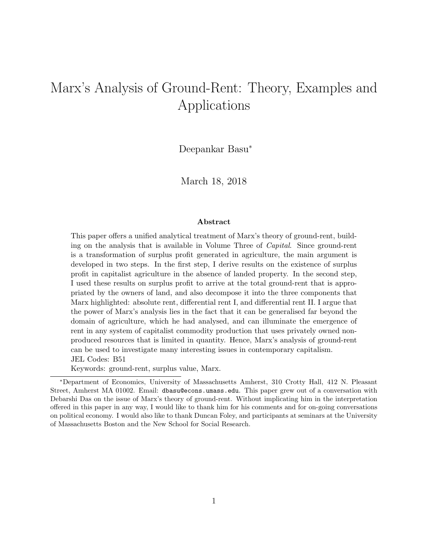# Marx's Analysis of Ground-Rent: Theory, Examples and Applications

Deepankar Basu<sup>∗</sup>

March 18, 2018

#### Abstract

This paper offers a unified analytical treatment of Marx's theory of ground-rent, building on the analysis that is available in Volume Three of Capital. Since ground-rent is a transformation of surplus profit generated in agriculture, the main argument is developed in two steps. In the first step, I derive results on the existence of surplus profit in capitalist agriculture in the absence of landed property. In the second step, I used these results on surplus profit to arrive at the total ground-rent that is appropriated by the owners of land, and also decompose it into the three components that Marx highlighted: absolute rent, differential rent I, and differential rent II. I argue that the power of Marx's analysis lies in the fact that it can be generalised far beyond the domain of agriculture, which he had analysed, and can illuminate the emergence of rent in any system of capitalist commodity production that uses privately owned nonproduced resources that is limited in quantity. Hence, Marx's analysis of ground-rent can be used to investigate many interesting issues in contemporary capitalism. JEL Codes: B51

Keywords: ground-rent, surplus value, Marx.

<sup>∗</sup>Department of Economics, University of Massachusetts Amherst, 310 Crotty Hall, 412 N. Pleasant Street, Amherst MA 01002. Email: dbasu@econs.umass.edu. This paper grew out of a conversation with Debarshi Das on the issue of Marx's theory of ground-rent. Without implicating him in the interpretation offered in this paper in any way, I would like to thank him for his comments and for on-going conversations on political economy. I would also like to thank Duncan Foley, and participants at seminars at the University of Massachusetts Boston and the New School for Social Research.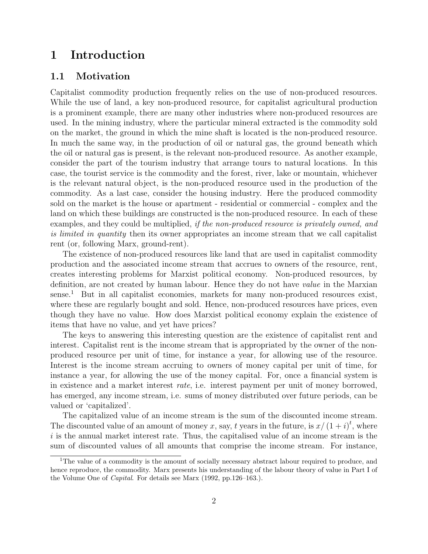## 1 Introduction

#### 1.1 Motivation

Capitalist commodity production frequently relies on the use of non-produced resources. While the use of land, a key non-produced resource, for capitalist agricultural production is a prominent example, there are many other industries where non-produced resources are used. In the mining industry, where the particular mineral extracted is the commodity sold on the market, the ground in which the mine shaft is located is the non-produced resource. In much the same way, in the production of oil or natural gas, the ground beneath which the oil or natural gas is present, is the relevant non-produced resource. As another example, consider the part of the tourism industry that arrange tours to natural locations. In this case, the tourist service is the commodity and the forest, river, lake or mountain, whichever is the relevant natural object, is the non-produced resource used in the production of the commodity. As a last case, consider the housing industry. Here the produced commodity sold on the market is the house or apartment - residential or commercial - complex and the land on which these buildings are constructed is the non-produced resource. In each of these examples, and they could be multiplied, *if the non-produced resource is privately owned, and* is limited in quantity then its owner appropriates an income stream that we call capitalist rent (or, following Marx, ground-rent).

The existence of non-produced resources like land that are used in capitalist commodity production and the associated income stream that accrues to owners of the resource, rent, creates interesting problems for Marxist political economy. Non-produced resources, by definition, are not created by human labour. Hence they do not have value in the Marxian  $sense.<sup>1</sup>$  But in all capitalist economies, markets for many non-produced resources exist, where these are regularly bought and sold. Hence, non-produced resources have prices, even though they have no value. How does Marxist political economy explain the existence of items that have no value, and yet have prices?

The keys to answering this interesting question are the existence of capitalist rent and interest. Capitalist rent is the income stream that is appropriated by the owner of the nonproduced resource per unit of time, for instance a year, for allowing use of the resource. Interest is the income stream accruing to owners of money capital per unit of time, for instance a year, for allowing the use of the money capital. For, once a financial system is in existence and a market interest rate, i.e. interest payment per unit of money borrowed, has emerged, any income stream, i.e. sums of money distributed over future periods, can be valued or 'capitalized'.

The capitalized value of an income stream is the sum of the discounted income stream. The discounted value of an amount of money x, say, t years in the future, is  $x/(1+i)^t$ , where  $i$  is the annual market interest rate. Thus, the capitalised value of an income stream is the sum of discounted values of all amounts that comprise the income stream. For instance,

<sup>&</sup>lt;sup>1</sup>The value of a commodity is the amount of socially necessary abstract labour required to produce, and hence reproduce, the commodity. Marx presents his understanding of the labour theory of value in Part I of the Volume One of Capital. For details see Marx (1992, pp.126–163.).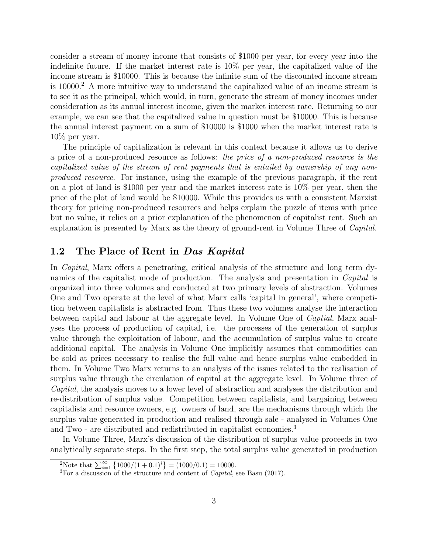consider a stream of money income that consists of \$1000 per year, for every year into the indefinite future. If the market interest rate is 10% per year, the capitalized value of the income stream is \$10000. This is because the infinite sum of the discounted income stream is 10000.<sup>2</sup> A more intuitive way to understand the capitalized value of an income stream is to see it as the principal, which would, in turn, generate the stream of money incomes under consideration as its annual interest income, given the market interest rate. Returning to our example, we can see that the capitalized value in question must be \$10000. This is because the annual interest payment on a sum of \$10000 is \$1000 when the market interest rate is 10% per year.

The principle of capitalization is relevant in this context because it allows us to derive a price of a non-produced resource as follows: the price of a non-produced resource is the capitalized value of the stream of rent payments that is entailed by ownership of any nonproduced resource. For instance, using the example of the previous paragraph, if the rent on a plot of land is \$1000 per year and the market interest rate is 10% per year, then the price of the plot of land would be \$10000. While this provides us with a consistent Marxist theory for pricing non-produced resources and helps explain the puzzle of items with price but no value, it relies on a prior explanation of the phenomenon of capitalist rent. Such an explanation is presented by Marx as the theory of ground-rent in Volume Three of Capital.

### 1.2 The Place of Rent in Das Kapital

In Capital, Marx offers a penetrating, critical analysis of the structure and long term dynamics of the capitalist mode of production. The analysis and presentation in *Capital* is organized into three volumes and conducted at two primary levels of abstraction. Volumes One and Two operate at the level of what Marx calls 'capital in general', where competition between capitalists is abstracted from. Thus these two volumes analyse the interaction between capital and labour at the aggregate level. In Volume One of Captial, Marx analyses the process of production of capital, i.e. the processes of the generation of surplus value through the exploitation of labour, and the accumulation of surplus value to create additional capital. The analysis in Volume One implicitly assumes that commodities can be sold at prices necessary to realise the full value and hence surplus value embedded in them. In Volume Two Marx returns to an analysis of the issues related to the realisation of surplus value through the circulation of capital at the aggregate level. In Volume three of Capital, the analysis moves to a lower level of abstraction and analyses the distribution and re-distribution of surplus value. Competition between capitalists, and bargaining between capitalists and resource owners, e.g. owners of land, are the mechanisms through which the surplus value generated in production and realised through sale - analysed in Volumes One and Two - are distributed and redistributed in capitalist economies.<sup>3</sup>

In Volume Three, Marx's discussion of the distribution of surplus value proceeds in two analytically separate steps. In the first step, the total surplus value generated in production

<sup>&</sup>lt;sup>2</sup>Note that  $\sum_{i=1}^{\infty} \{1000/(1+0.1)^i\} = (1000/0.1) = 10000.$ 

 ${}^{3}$ For a discussion of the structure and content of *Capital*, see Basu (2017).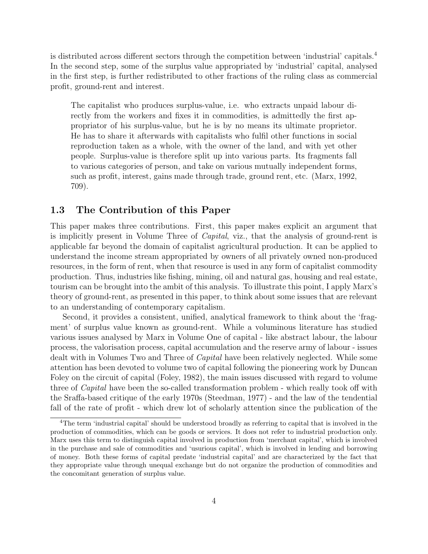is distributed across different sectors through the competition between 'industrial' capitals.<sup>4</sup> In the second step, some of the surplus value appropriated by 'industrial' capital, analysed in the first step, is further redistributed to other fractions of the ruling class as commercial profit, ground-rent and interest.

The capitalist who produces surplus-value, i.e. who extracts unpaid labour directly from the workers and fixes it in commodities, is admittedly the first appropriator of his surplus-value, but he is by no means its ultimate proprietor. He has to share it afterwards with capitalists who fulfil other functions in social reproduction taken as a whole, with the owner of the land, and with yet other people. Surplus-value is therefore split up into various parts. Its fragments fall to various categories of person, and take on various mutually independent forms, such as profit, interest, gains made through trade, ground rent, etc. (Marx, 1992, 709).

#### 1.3 The Contribution of this Paper

This paper makes three contributions. First, this paper makes explicit an argument that is implicitly present in Volume Three of Capital, viz., that the analysis of ground-rent is applicable far beyond the domain of capitalist agricultural production. It can be applied to understand the income stream appropriated by owners of all privately owned non-produced resources, in the form of rent, when that resource is used in any form of capitalist commodity production. Thus, industries like fishing, mining, oil and natural gas, housing and real estate, tourism can be brought into the ambit of this analysis. To illustrate this point, I apply Marx's theory of ground-rent, as presented in this paper, to think about some issues that are relevant to an understanding of contemporary capitalism.

Second, it provides a consistent, unified, analytical framework to think about the 'fragment' of surplus value known as ground-rent. While a voluminous literature has studied various issues analysed by Marx in Volume One of capital - like abstract labour, the labour process, the valorisation process, capital accumulation and the reserve army of labour - issues dealt with in Volumes Two and Three of *Capital* have been relatively neglected. While some attention has been devoted to volume two of capital following the pioneering work by Duncan Foley on the circuit of capital (Foley, 1982), the main issues discussed with regard to volume three of Capital have been the so-called transformation problem - which really took off with the Sraffa-based critique of the early 1970s (Steedman, 1977) - and the law of the tendential fall of the rate of profit - which drew lot of scholarly attention since the publication of the

<sup>4</sup>The term 'industrial capital' should be understood broadly as referring to capital that is involved in the production of commodities, which can be goods or services. It does not refer to industrial production only. Marx uses this term to distinguish capital involved in production from 'merchant capital', which is involved in the purchase and sale of commodities and 'usurious capital', which is involved in lending and borrowing of money. Both these forms of capital predate 'industrial capital' and are characterized by the fact that they appropriate value through unequal exchange but do not organize the production of commodities and the concomitant generation of surplus value.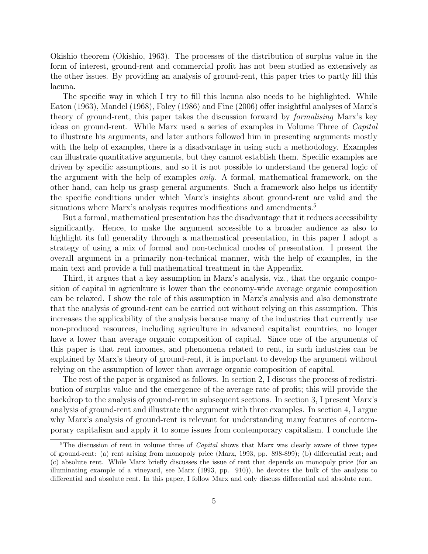Okishio theorem (Okishio, 1963). The processes of the distribution of surplus value in the form of interest, ground-rent and commercial profit has not been studied as extensively as the other issues. By providing an analysis of ground-rent, this paper tries to partly fill this lacuna.

The specific way in which I try to fill this lacuna also needs to be highlighted. While Eaton (1963), Mandel (1968), Foley (1986) and Fine (2006) offer insightful analyses of Marx's theory of ground-rent, this paper takes the discussion forward by formalising Marx's key ideas on ground-rent. While Marx used a series of examples in Volume Three of Capital to illustrate his arguments, and later authors followed him in presenting arguments mostly with the help of examples, there is a disadvantage in using such a methodology. Examples can illustrate quantitative arguments, but they cannot establish them. Specific examples are driven by specific assumptions, and so it is not possible to understand the general logic of the argument with the help of examples only. A formal, mathematical framework, on the other hand, can help us grasp general arguments. Such a framework also helps us identify the specific conditions under which Marx's insights about ground-rent are valid and the situations where Marx's analysis requires modifications and amendments.<sup>5</sup>

But a formal, mathematical presentation has the disadvantage that it reduces accessibility significantly. Hence, to make the argument accessible to a broader audience as also to highlight its full generality through a mathematical presentation, in this paper I adopt a strategy of using a mix of formal and non-technical modes of presentation. I present the overall argument in a primarily non-technical manner, with the help of examples, in the main text and provide a full mathematical treatment in the Appendix.

Third, it argues that a key assumption in Marx's analysis, viz., that the organic composition of capital in agriculture is lower than the economy-wide average organic composition can be relaxed. I show the role of this assumption in Marx's analysis and also demonstrate that the analysis of ground-rent can be carried out without relying on this assumption. This increases the applicability of the analysis because many of the industries that currently use non-produced resources, including agriculture in advanced capitalist countries, no longer have a lower than average organic composition of capital. Since one of the arguments of this paper is that rent incomes, and phenomena related to rent, in such industries can be explained by Marx's theory of ground-rent, it is important to develop the argument without relying on the assumption of lower than average organic composition of capital.

The rest of the paper is organised as follows. In section 2, I discuss the process of redistribution of surplus value and the emergence of the average rate of profit; this will provide the backdrop to the analysis of ground-rent in subsequent sections. In section 3, I present Marx's analysis of ground-rent and illustrate the argument with three examples. In section 4, I argue why Marx's analysis of ground-rent is relevant for understanding many features of contemporary capitalism and apply it to some issues from contemporary capitalism. I conclude the

<sup>&</sup>lt;sup>5</sup>The discussion of rent in volume three of *Capital* shows that Marx was clearly aware of three types of ground-rent: (a) rent arising from monopoly price (Marx, 1993, pp. 898-899); (b) differential rent; and (c) absolute rent. While Marx briefly discusses the issue of rent that depends on monopoly price (for an illuminating example of a vineyard, see Marx (1993, pp. 910)), he devotes the bulk of the analysis to differential and absolute rent. In this paper, I follow Marx and only discuss differential and absolute rent.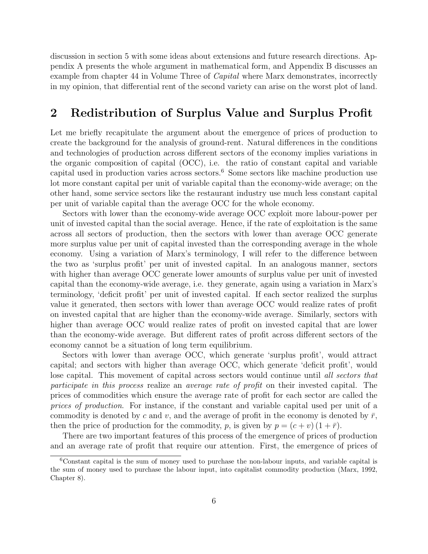discussion in section 5 with some ideas about extensions and future research directions. Appendix A presents the whole argument in mathematical form, and Appendix B discusses an example from chapter 44 in Volume Three of *Capital* where Marx demonstrates, incorrectly in my opinion, that differential rent of the second variety can arise on the worst plot of land.

## 2 Redistribution of Surplus Value and Surplus Profit

Let me briefly recapitulate the argument about the emergence of prices of production to create the background for the analysis of ground-rent. Natural differences in the conditions and technologies of production across different sectors of the economy implies variations in the organic composition of capital (OCC), i.e. the ratio of constant capital and variable capital used in production varies across sectors.<sup>6</sup> Some sectors like machine production use lot more constant capital per unit of variable capital than the economy-wide average; on the other hand, some service sectors like the restaurant industry use much less constant capital per unit of variable capital than the average OCC for the whole economy.

Sectors with lower than the economy-wide average OCC exploit more labour-power per unit of invested capital than the social average. Hence, if the rate of exploitation is the same across all sectors of production, then the sectors with lower than average OCC generate more surplus value per unit of capital invested than the corresponding average in the whole economy. Using a variation of Marx's terminology, I will refer to the difference between the two as 'surplus profit' per unit of invested capital. In an analogous manner, sectors with higher than average OCC generate lower amounts of surplus value per unit of invested capital than the economy-wide average, i.e. they generate, again using a variation in Marx's terminology, 'deficit profit' per unit of invested capital. If each sector realized the surplus value it generated, then sectors with lower than average OCC would realize rates of profit on invested capital that are higher than the economy-wide average. Similarly, sectors with higher than average OCC would realize rates of profit on invested capital that are lower than the economy-wide average. But different rates of profit across different sectors of the economy cannot be a situation of long term equilibrium.

Sectors with lower than average OCC, which generate 'surplus profit', would attract capital; and sectors with higher than average OCC, which generate 'deficit profit', would lose capital. This movement of capital across sectors would continue until all sectors that participate in this process realize an average rate of profit on their invested capital. The prices of commodities which ensure the average rate of profit for each sector are called the prices of production. For instance, if the constant and variable capital used per unit of a commodity is denoted by c and v, and the average of profit in the economy is denoted by  $\bar{r}$ , then the price of production for the commodity, p, is given by  $p = (c + v)(1 + \bar{r})$ .

There are two important features of this process of the emergence of prices of production and an average rate of profit that require our attention. First, the emergence of prices of

<sup>6</sup>Constant capital is the sum of money used to purchase the non-labour inputs, and variable capital is the sum of money used to purchase the labour input, into capitalist commodity production (Marx, 1992, Chapter 8).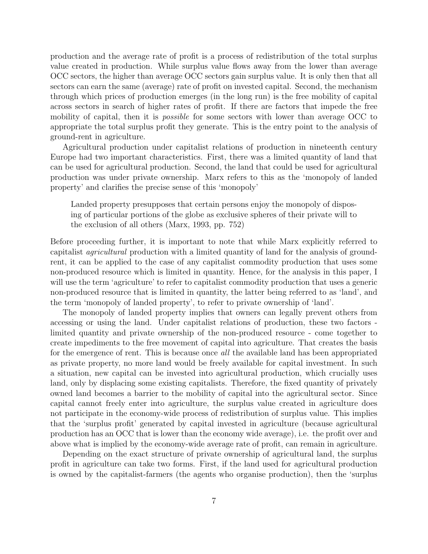production and the average rate of profit is a process of redistribution of the total surplus value created in production. While surplus value flows away from the lower than average OCC sectors, the higher than average OCC sectors gain surplus value. It is only then that all sectors can earn the same (average) rate of profit on invested capital. Second, the mechanism through which prices of production emerges (in the long run) is the free mobility of capital across sectors in search of higher rates of profit. If there are factors that impede the free mobility of capital, then it is *possible* for some sectors with lower than average OCC to appropriate the total surplus profit they generate. This is the entry point to the analysis of ground-rent in agriculture.

Agricultural production under capitalist relations of production in nineteenth century Europe had two important characteristics. First, there was a limited quantity of land that can be used for agricultural production. Second, the land that could be used for agricultural production was under private ownership. Marx refers to this as the 'monopoly of landed property' and clarifies the precise sense of this 'monopoly'

Landed property presupposes that certain persons enjoy the monopoly of disposing of particular portions of the globe as exclusive spheres of their private will to the exclusion of all others (Marx, 1993, pp. 752)

Before proceeding further, it is important to note that while Marx explicitly referred to capitalist agricultural production with a limited quantity of land for the analysis of groundrent, it can be applied to the case of any capitalist commodity production that uses some non-produced resource which is limited in quantity. Hence, for the analysis in this paper, I will use the term 'agriculture' to refer to capitalist commodity production that uses a generic non-produced resource that is limited in quantity, the latter being referred to as 'land', and the term 'monopoly of landed property', to refer to private ownership of 'land'.

The monopoly of landed property implies that owners can legally prevent others from accessing or using the land. Under capitalist relations of production, these two factors limited quantity and private ownership of the non-produced resource - come together to create impediments to the free movement of capital into agriculture. That creates the basis for the emergence of rent. This is because once *all* the available land has been appropriated as private property, no more land would be freely available for capital investment. In such a situation, new capital can be invested into agricultural production, which crucially uses land, only by displacing some existing capitalists. Therefore, the fixed quantity of privately owned land becomes a barrier to the mobility of capital into the agricultural sector. Since capital cannot freely enter into agriculture, the surplus value created in agriculture does not participate in the economy-wide process of redistribution of surplus value. This implies that the 'surplus profit' generated by capital invested in agriculture (because agricultural production has an OCC that is lower than the economy wide average), i.e. the profit over and above what is implied by the economy-wide average rate of profit, can remain in agriculture.

Depending on the exact structure of private ownership of agricultural land, the surplus profit in agriculture can take two forms. First, if the land used for agricultural production is owned by the capitalist-farmers (the agents who organise production), then the 'surplus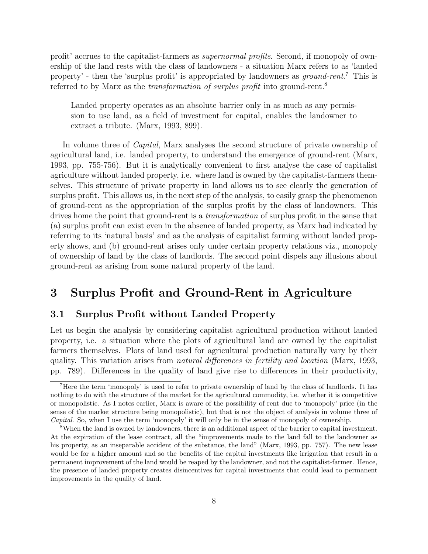profit' accrues to the capitalist-farmers as supernormal profits. Second, if monopoly of ownership of the land rests with the class of landowners - a situation Marx refers to as 'landed property' - then the 'surplus profit' is appropriated by landowners as *ground-rent*.<sup>7</sup> This is referred to by Marx as the *transformation of surplus profit* into ground-rent.<sup>8</sup>

Landed property operates as an absolute barrier only in as much as any permission to use land, as a field of investment for capital, enables the landowner to extract a tribute. (Marx, 1993, 899).

In volume three of *Capital*, Marx analyses the second structure of private ownership of agricultural land, i.e. landed property, to understand the emergence of ground-rent (Marx, 1993, pp. 755-756). But it is analytically convenient to first analyse the case of capitalist agriculture without landed property, i.e. where land is owned by the capitalist-farmers themselves. This structure of private property in land allows us to see clearly the generation of surplus profit. This allows us, in the next step of the analysis, to easily grasp the phenomenon of ground-rent as the appropriation of the surplus profit by the class of landowners. This drives home the point that ground-rent is a *transformation* of surplus profit in the sense that (a) surplus profit can exist even in the absence of landed property, as Marx had indicated by referring to its 'natural basis' and as the analysis of capitalist farming without landed property shows, and (b) ground-rent arises only under certain property relations viz., monopoly of ownership of land by the class of landlords. The second point dispels any illusions about ground-rent as arising from some natural property of the land.

## 3 Surplus Profit and Ground-Rent in Agriculture

#### 3.1 Surplus Profit without Landed Property

Let us begin the analysis by considering capitalist agricultural production without landed property, i.e. a situation where the plots of agricultural land are owned by the capitalist farmers themselves. Plots of land used for agricultural production naturally vary by their quality. This variation arises from natural differences in fertility and location (Marx, 1993, pp. 789). Differences in the quality of land give rise to differences in their productivity,

<sup>7</sup>Here the term 'monopoly' is used to refer to private ownership of land by the class of landlords. It has nothing to do with the structure of the market for the agricultural commodity, i.e. whether it is competitive or monopolistic. As I notes earlier, Marx is aware of the possibility of rent due to 'monopoly' price (in the sense of the market structure being monopolistic), but that is not the object of analysis in volume three of Capital. So, when I use the term 'monopoly' it will only be in the sense of monopoly of ownership.

<sup>8</sup>When the land is owned by landowners, there is an additional aspect of the barrier to capital investment. At the expiration of the lease contract, all the "improvements made to the land fall to the landowner as his property, as an inseparable accident of the substance, the land" (Marx, 1993, pp. 757). The new lease would be for a higher amount and so the benefits of the capital investments like irrigation that result in a permanent improvement of the land would be reaped by the landowner, and not the capitalist-farmer. Hence, the presence of landed property creates disincentives for capital investments that could lead to permanent improvements in the quality of land.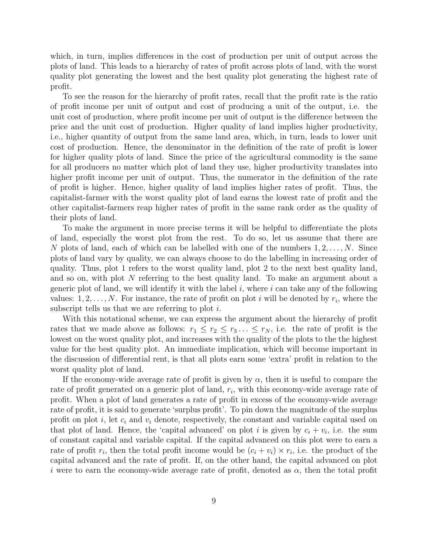which, in turn, implies differences in the cost of production per unit of output across the plots of land. This leads to a hierarchy of rates of profit across plots of land, with the worst quality plot generating the lowest and the best quality plot generating the highest rate of profit.

To see the reason for the hierarchy of profit rates, recall that the profit rate is the ratio of profit income per unit of output and cost of producing a unit of the output, i.e. the unit cost of production, where profit income per unit of output is the difference between the price and the unit cost of production. Higher quality of land implies higher productivity, i.e., higher quantity of output from the same land area, which, in turn, leads to lower unit cost of production. Hence, the denominator in the definition of the rate of profit is lower for higher quality plots of land. Since the price of the agricultural commodity is the same for all producers no matter which plot of land they use, higher productivity translates into higher profit income per unit of output. Thus, the numerator in the definition of the rate of profit is higher. Hence, higher quality of land implies higher rates of profit. Thus, the capitalist-farmer with the worst quality plot of land earns the lowest rate of profit and the other capitalist-farmers reap higher rates of profit in the same rank order as the quality of their plots of land.

To make the argument in more precise terms it will be helpful to differentiate the plots of land, especially the worst plot from the rest. To do so, let us assume that there are N plots of land, each of which can be labelled with one of the numbers  $1, 2, \ldots, N$ . Since plots of land vary by quality, we can always choose to do the labelling in increasing order of quality. Thus, plot 1 refers to the worst quality land, plot 2 to the next best quality land, and so on, with plot N referring to the best quality land. To make an argument about a generic plot of land, we will identify it with the label  $i$ , where  $i$  can take any of the following values:  $1, 2, \ldots, N$ . For instance, the rate of profit on plot *i* will be denoted by  $r_i$ , where the subscript tells us that we are referring to plot  $i$ .

With this notational scheme, we can express the argument about the hierarchy of profit rates that we made above as follows:  $r_1 \leq r_2 \leq r_3 \ldots \leq r_N$ , i.e. the rate of profit is the lowest on the worst quality plot, and increases with the quality of the plots to the the highest value for the best quality plot. An immediate implication, which will become important in the discussion of differential rent, is that all plots earn some 'extra' profit in relation to the worst quality plot of land.

If the economy-wide average rate of profit is given by  $\alpha$ , then it is useful to compare the rate of profit generated on a generic plot of land,  $r_i$ , with this economy-wide average rate of profit. When a plot of land generates a rate of profit in excess of the economy-wide average rate of profit, it is said to generate 'surplus profit'. To pin down the magnitude of the surplus profit on plot i, let  $c_i$  and  $v_i$  denote, respectively, the constant and variable capital used on that plot of land. Hence, the 'capital advanced' on plot i is given by  $c_i + v_i$ , i.e. the sum of constant capital and variable capital. If the capital advanced on this plot were to earn a rate of profit  $r_i$ , then the total profit income would be  $(c_i + v_i) \times r_i$ , i.e. the product of the capital advanced and the rate of profit. If, on the other hand, the capital advanced on plot i were to earn the economy-wide average rate of profit, denoted as  $\alpha$ , then the total profit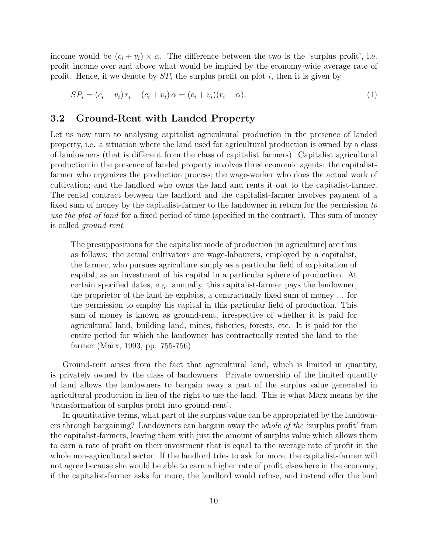income would be  $(c_i + v_i) \times \alpha$ . The difference between the two is the 'surplus profit', i.e. profit income over and above what would be implied by the economy-wide average rate of profit. Hence, if we denote by  $SP_i$  the surplus profit on plot i, then it is given by

$$
SP_i = (c_i + v_i) r_i - (c_i + v_i) \alpha = (c_i + v_i)(r_i - \alpha).
$$
\n(1)

### 3.2 Ground-Rent with Landed Property

Let us now turn to analysing capitalist agricultural production in the presence of landed property, i.e. a situation where the land used for agricultural production is owned by a class of landowners (that is different from the class of capitalist farmers). Capitalist agricultural production in the presence of landed property involves three economic agents: the capitalistfarmer who organizes the production process; the wage-worker who does the actual work of cultivation; and the landlord who owns the land and rents it out to the capitalist-farmer. The rental contract between the landlord and the capitalist-farmer involves payment of a fixed sum of money by the capitalist-farmer to the landowner in return for the permission to use the plot of land for a fixed period of time (specified in the contract). This sum of money is called ground-rent.

The presuppositions for the capitalist mode of production [in agriculture] are thus as follows: the actual cultivators are wage-labourers, employed by a capitalist, the farmer, who pursues agriculture simply as a particular field of exploitation of capital, as an investment of his capital in a particular sphere of production. At certain specified dates, e.g. annually, this capitalist-farmer pays the landowner, the proprietor of the land he exploits, a contractually fixed sum of money ... for the permission to employ his capital in this particular field of production. This sum of money is known as ground-rent, irrespective of whether it is paid for agricultural land, building land, mines, fisheries, forests, etc. It is paid for the entire period for which the landowner has contractually rented the land to the farmer (Marx, 1993, pp. 755-756)

Ground-rent arises from the fact that agricultural land, which is limited in quantity, is privately owned by the class of landowners. Private ownership of the limited quantity of land allows the landowners to bargain away a part of the surplus value generated in agricultural production in lieu of the right to use the land. This is what Marx means by the 'transformation of surplus profit into ground-rent'.

In quantitative terms, what part of the surplus value can be appropriated by the landowners through bargaining? Landowners can bargain away the whole of the 'surplus profit' from the capitalist-farmers, leaving them with just the amount of surplus value which allows them to earn a rate of profit on their investment that is equal to the average rate of profit in the whole non-agricultural sector. If the landlord tries to ask for more, the capitalist-farmer will not agree because she would be able to earn a higher rate of profit elsewhere in the economy; if the capitalist-farmer asks for more, the landlord would refuse, and instead offer the land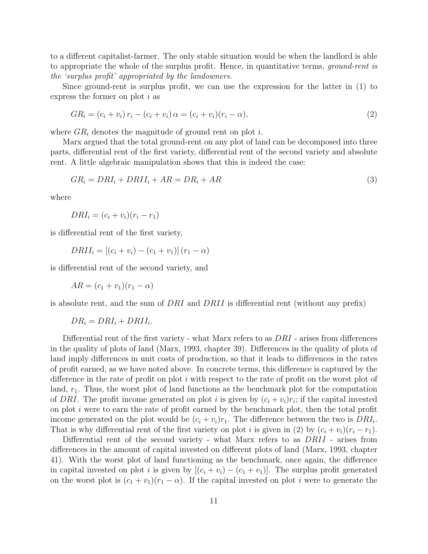to a different capitalist-farmer. The only stable situation would be when the landlord is able to appropriate the whole of the surplus profit. Hence, in quantitative terms, *ground-rent is* the 'surplus profit' appropriated by the landowners.

Since ground-rent is surplus profit, we can use the expression for the latter in (1) to express the former on plot i as

$$
GR_i = (c_i + v_i) r_i - (c_i + v_i) \alpha = (c_i + v_i)(r_i - \alpha),
$$
\n(2)

where  $GR_i$  denotes the magnitude of ground rent on plot i.

Marx argued that the total ground-rent on any plot of land can be decomposed into three parts, differential rent of the first variety, differential rent of the second variety and absolute rent. A little algebraic manipulation shows that this is indeed the case:

$$
GR_i = DRI_i + DRII_i + AR = DR_i + AR \tag{3}
$$

where

$$
DRI_i = (c_i + v_i)(r_i - r_1)
$$

is differential rent of the first variety,

$$
DRII_i = [(c_i + v_i) - (c_1 + v_1)] (r_1 - \alpha)
$$

is differential rent of the second variety, and

$$
AR = (c_1 + v_1)(r_1 - \alpha)
$$

is absolute rent, and the sum of DRI and DRII is differential rent (without any prefix)

 $DR_i = DRI_i + DRII_i.$ 

Differential rent of the first variety - what Marx refers to as  $DRI$  - arises from differences in the quality of plots of land (Marx, 1993, chapter 39). Differences in the quality of plots of land imply differences in unit costs of production, so that it leads to differences in the rates of profit earned, as we have noted above. In concrete terms, this difference is captured by the difference in the rate of profit on plot i with respect to the rate of profit on the worst plot of land,  $r_1$ . Thus, the worst plot of land functions as the benchmark plot for the computation of DRI. The profit income generated on plot i is given by  $(c_i + v_i)r_i$ ; if the capital invested on plot  $i$  were to earn the rate of profit earned by the benchmark plot, then the total profit income generated on the plot would be  $(c_i + v_i)r_1$ . The difference between the two is  $DRI_i$ . That is why differential rent of the first variety on plot i is given in (2) by  $(c_i + v_i)(r_i - r_1)$ .

Differential rent of the second variety - what Marx refers to as DRII - arises from differences in the amount of capital invested on different plots of land (Marx, 1993, chapter 41). With the worst plot of land functioning as the benchmark, once again, the difference in capital invested on plot i is given by  $[(c_i + v_i) - (c_1 + v_1)]$ . The surplus profit generated on the worst plot is  $(c_1 + v_1)(r_1 - \alpha)$ . If the capital invested on plot i were to generate the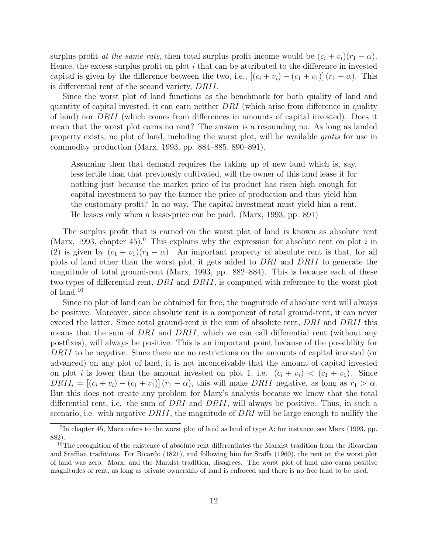surplus profit at the same rate, then total surplus profit income would be  $(c_i + v_i)(r_1 - \alpha)$ . Hence, the excess surplus profit on plot  $i$  that can be attributed to the difference in invested capital is given by the difference between the two, i.e.,  $[(c_i + v_i) - (c_1 + v_1)] (r_1 - \alpha)$ . This is differential rent of the second variety, DRII.

Since the worst plot of land functions as the benchmark for both quality of land and quantity of capital invested, it can earn neither  $DRI$  (which arise from difference in quality of land) nor DRII (which comes from differences in amounts of capital invested). Does it mean that the worst plot earns no rent? The answer is a resounding no. As long as landed property exists, no plot of land, including the worst plot, will be available gratis for use in commodity production (Marx, 1993, pp. 884–885, 890–891).

Assuming then that demand requires the taking up of new land which is, say, less fertile than that previously cultivated, will the owner of this land lease it for nothing just because the market price of its product has risen high enough for capital investment to pay the farmer the price of production and thus yield him the customary profit? In no way. The capital investment must yield him a rent. He leases only when a lease-price can be paid. (Marx, 1993, pp. 891)

The surplus profit that is earned on the worst plot of land is known as absolute rent (Marx, 1993, chapter 45).<sup>9</sup> This explains why the expression for absolute rent on plot i in (2) is given by  $(c_1 + v_1)(r_1 - \alpha)$ . An important property of absolute rent is that, for all plots of land other than the worst plot, it gets added to DRI and DRII to generate the magnitude of total ground-rent (Marx, 1993, pp. 882–884). This is because each of these two types of differential rent, DRI and DRII, is computed with reference to the worst plot of land.<sup>10</sup>

Since no plot of land can be obtained for free, the magnitude of absolute rent will always be positive. Moreover, since absolute rent is a component of total ground-rent, it can never exceed the latter. Since total ground-rent is the sum of absolute rent, DRI and DRII this means that the sum of DRI and DRII, which we can call differential rent (without any postfixes), will always be positive. This is an important point because of the possibility for DRII to be negative. Since there are no restrictions on the amounts of capital invested (or advanced) on any plot of land, it is not inconceivable that the amount of capital invested on plot i is lower than the amount invested on plot 1, i.e.  $(c_i + v_i) < (c_1 + v_1)$ . Since  $DRII_i = [(c_i + v_i) - (c_1 + v_1)] (r_1 - \alpha)$ , this will make  $DRII$  negative, as long as  $r_1 > \alpha$ . But this does not create any problem for Marx's analysis because we know that the total differential rent, i.e. the sum of  $DRI$  and  $DRII$ , will always be positive. Thus, in such a scenario, i.e. with negative  $DRI$ , the magnitude of  $DRI$  will be large enough to nullify the

 $^{9}$ In chapter 45, Marx refers to the worst plot of land as land of type A; for instance, see Marx (1993, pp. 882).

<sup>&</sup>lt;sup>10</sup>The recognition of the existence of absolute rent differentiates the Marxist tradition from the Ricardian and Sraffian traditions. For Ricardo (1821), and following him for Sraffa (1960), the rent on the worst plot of land was zero. Marx, and the Marxist tradition, disagrees. The worst plot of land also earns positive magnitudes of rent, as long as private ownership of land is enforced and there is no free land to be used.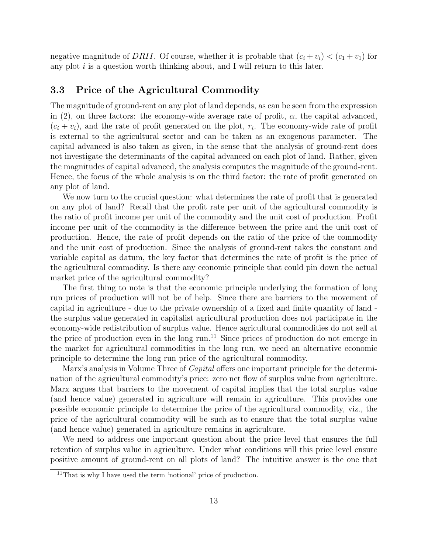negative magnitude of DRII. Of course, whether it is probable that  $(c_i + v_i) < (c_1 + v_1)$  for any plot  $i$  is a question worth thinking about, and I will return to this later.

### 3.3 Price of the Agricultural Commodity

The magnitude of ground-rent on any plot of land depends, as can be seen from the expression in (2), on three factors: the economy-wide average rate of profit,  $\alpha$ , the capital advanced,  $(c_i + v_i)$ , and the rate of profit generated on the plot,  $r_i$ . The economy-wide rate of profit is external to the agricultural sector and can be taken as an exogenous parameter. The capital advanced is also taken as given, in the sense that the analysis of ground-rent does not investigate the determinants of the capital advanced on each plot of land. Rather, given the magnitudes of capital advanced, the analysis computes the magnitude of the ground-rent. Hence, the focus of the whole analysis is on the third factor: the rate of profit generated on any plot of land.

We now turn to the crucial question: what determines the rate of profit that is generated on any plot of land? Recall that the profit rate per unit of the agricultural commodity is the ratio of profit income per unit of the commodity and the unit cost of production. Profit income per unit of the commodity is the difference between the price and the unit cost of production. Hence, the rate of profit depends on the ratio of the price of the commodity and the unit cost of production. Since the analysis of ground-rent takes the constant and variable capital as datum, the key factor that determines the rate of profit is the price of the agricultural commodity. Is there any economic principle that could pin down the actual market price of the agricultural commodity?

The first thing to note is that the economic principle underlying the formation of long run prices of production will not be of help. Since there are barriers to the movement of capital in agriculture - due to the private ownership of a fixed and finite quantity of land the surplus value generated in capitalist agricultural production does not participate in the economy-wide redistribution of surplus value. Hence agricultural commodities do not sell at the price of production even in the long run.<sup>11</sup> Since prices of production do not emerge in the market for agricultural commodities in the long run, we need an alternative economic principle to determine the long run price of the agricultural commodity.

Marx's analysis in Volume Three of *Capital* offers one important principle for the determination of the agricultural commodity's price: zero net flow of surplus value from agriculture. Marx argues that barriers to the movement of capital implies that the total surplus value (and hence value) generated in agriculture will remain in agriculture. This provides one possible economic principle to determine the price of the agricultural commodity, viz., the price of the agricultural commodity will be such as to ensure that the total surplus value (and hence value) generated in agriculture remains in agriculture.

We need to address one important question about the price level that ensures the full retention of surplus value in agriculture. Under what conditions will this price level ensure positive amount of ground-rent on all plots of land? The intuitive answer is the one that

<sup>11</sup>That is why I have used the term 'notional' price of production.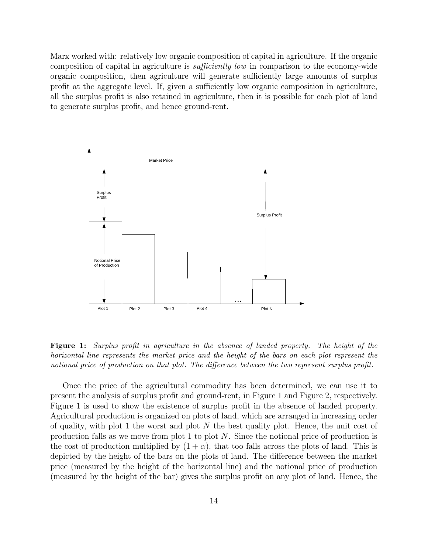Marx worked with: relatively low organic composition of capital in agriculture. If the organic composition of capital in agriculture is sufficiently low in comparison to the economy-wide organic composition, then agriculture will generate sufficiently large amounts of surplus profit at the aggregate level. If, given a sufficiently low organic composition in agriculture, all the surplus profit is also retained in agriculture, then it is possible for each plot of land to generate surplus profit, and hence ground-rent.



Figure 1: Surplus profit in agriculture in the absence of landed property. The height of the horizontal line represents the market price and the height of the bars on each plot represent the notional price of production on that plot. The difference between the two represent surplus profit.

Once the price of the agricultural commodity has been determined, we can use it to present the analysis of surplus profit and ground-rent, in Figure 1 and Figure 2, respectively. Figure 1 is used to show the existence of surplus profit in the absence of landed property. Agricultural production is organized on plots of land, which are arranged in increasing order of quality, with plot 1 the worst and plot  $N$  the best quality plot. Hence, the unit cost of production falls as we move from plot 1 to plot N. Since the notional price of production is the cost of production multiplied by  $(1 + \alpha)$ , that too falls across the plots of land. This is depicted by the height of the bars on the plots of land. The difference between the market price (measured by the height of the horizontal line) and the notional price of production (measured by the height of the bar) gives the surplus profit on any plot of land. Hence, the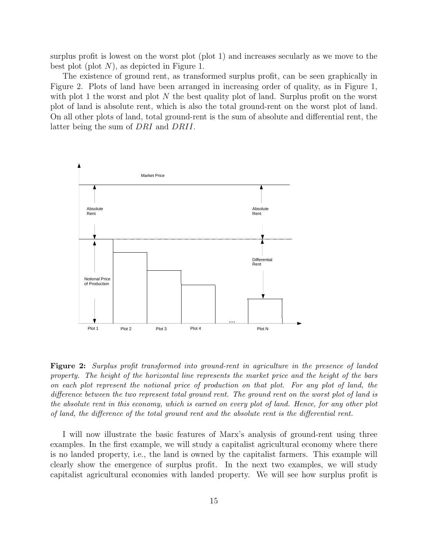surplus profit is lowest on the worst plot (plot 1) and increases secularly as we move to the best plot (plot  $N$ ), as depicted in Figure 1.

The existence of ground rent, as transformed surplus profit, can be seen graphically in Figure 2. Plots of land have been arranged in increasing order of quality, as in Figure 1, with plot 1 the worst and plot N the best quality plot of land. Surplus profit on the worst plot of land is absolute rent, which is also the total ground-rent on the worst plot of land. On all other plots of land, total ground-rent is the sum of absolute and differential rent, the latter being the sum of DRI and DRII.



Figure 2: Surplus profit transformed into ground-rent in agriculture in the presence of landed property. The height of the horizontal line represents the market price and the height of the bars on each plot represent the notional price of production on that plot. For any plot of land, the difference between the two represent total ground rent. The ground rent on the worst plot of land is the absolute rent in this economy, which is earned on every plot of land. Hence, for any other plot of land, the difference of the total ground rent and the absolute rent is the differential rent.

I will now illustrate the basic features of Marx's analysis of ground-rent using three examples. In the first example, we will study a capitalist agricultural economy where there is no landed property, i.e., the land is owned by the capitalist farmers. This example will clearly show the emergence of surplus profit. In the next two examples, we will study capitalist agricultural economies with landed property. We will see how surplus profit is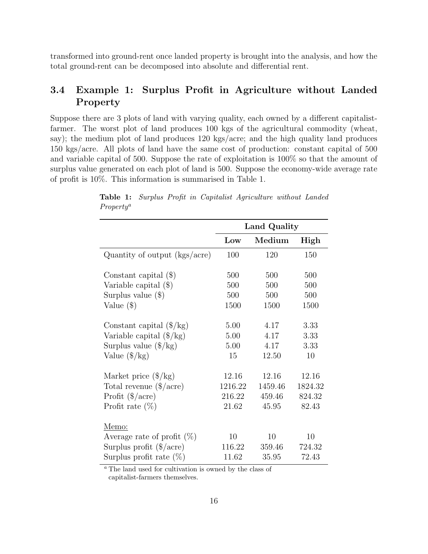transformed into ground-rent once landed property is brought into the analysis, and how the total ground-rent can be decomposed into absolute and differential rent.

### 3.4 Example 1: Surplus Profit in Agriculture without Landed Property

Suppose there are 3 plots of land with varying quality, each owned by a different capitalistfarmer. The worst plot of land produces 100 kgs of the agricultural commodity (wheat, say); the medium plot of land produces 120 kgs/acre; and the high quality land produces 150 kgs/acre. All plots of land have the same cost of production: constant capital of 500 and variable capital of 500. Suppose the rate of exploitation is 100% so that the amount of surplus value generated on each plot of land is 500. Suppose the economy-wide average rate of profit is 10%. This information is summarised in Table 1.

|                                                                    | Land Quality |         |         |
|--------------------------------------------------------------------|--------------|---------|---------|
|                                                                    | Low          | Medium  | High    |
| Quantity of output (kgs/acre)                                      | 100          | 120     | 150     |
| Constant capital $(\$)$                                            | 500          | 500     | 500     |
| Variable capital $(\$)$                                            | 500          | 500     | 500     |
| Surplus value $(\$)$                                               | 500          | 500     | 500     |
| Value $(\$)$                                                       | 1500         | 1500    | 1500    |
| Constant capital $(\frac{8}{kg})$                                  | 5.00         | 4.17    | 3.33    |
| Variable capital $(\frac{4}{\text{kg}})$                           | 5.00         | 4.17    | 3.33    |
| Surplus value $(\frac{8}{kg})$                                     | 5.00         | 4.17    | 3.33    |
| Value $(\frac{6}{kg})$                                             | 15           | 12.50   | 10      |
| Market price $(\frac{8}{kg})$                                      | 12.16        | 12.16   | 12.16   |
| Total revenue $(\frac{4}{\text{a} \cdot \text{c} \cdot \text{c}})$ | 1216.22      | 1459.46 | 1824.32 |
| Profit $(\frac{2}{\alpha})$                                        | 216.22       | 459.46  | 824.32  |
| Profit rate $(\%)$                                                 | 21.62        | 45.95   | 82.43   |
| Memo:                                                              |              |         |         |
| Average rate of profit $(\%)$                                      | 10           | 10      | 10      |
| Surplus profit $(\frac{4}{\alpha})$                                | 116.22       | 359.46  | 724.32  |
| Surplus profit rate $(\%)$                                         | 11.62        | 35.95   | 72.43   |

Table 1: Surplus Profit in Capitalist Agriculture without Landed Property<sup>a</sup>

<sup>a</sup> The land used for cultivation is owned by the class of capitalist-farmers themselves.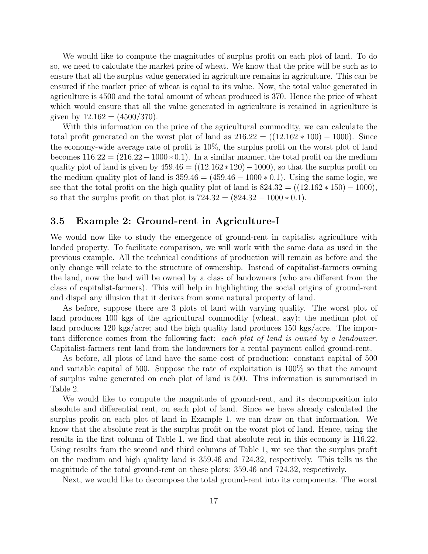We would like to compute the magnitudes of surplus profit on each plot of land. To do so, we need to calculate the market price of wheat. We know that the price will be such as to ensure that all the surplus value generated in agriculture remains in agriculture. This can be ensured if the market price of wheat is equal to its value. Now, the total value generated in agriculture is 4500 and the total amount of wheat produced is 370. Hence the price of wheat which would ensure that all the value generated in agriculture is retained in agriculture is given by  $12.162 = (4500/370)$ .

With this information on the price of the agricultural commodity, we can calculate the total profit generated on the worst plot of land as  $216.22 = ((12.162 * 100) - 1000)$ . Since the economy-wide average rate of profit is 10%, the surplus profit on the worst plot of land becomes  $116.22 = (216.22 - 1000 * 0.1)$ . In a similar manner, the total profit on the medium quality plot of land is given by  $459.46 = ((12.162 \times 120) - 1000)$ , so that the surplus profit on the medium quality plot of land is  $359.46 = (459.46 - 1000 * 0.1)$ . Using the same logic, we see that the total profit on the high quality plot of land is  $824.32 = ((12.162 * 150) - 1000)$ , so that the surplus profit on that plot is  $724.32 = (824.32 - 1000 * 0.1)$ .

#### 3.5 Example 2: Ground-rent in Agriculture-I

We would now like to study the emergence of ground-rent in capitalist agriculture with landed property. To facilitate comparison, we will work with the same data as used in the previous example. All the technical conditions of production will remain as before and the only change will relate to the structure of ownership. Instead of capitalist-farmers owning the land, now the land will be owned by a class of landowners (who are different from the class of capitalist-farmers). This will help in highlighting the social origins of ground-rent and dispel any illusion that it derives from some natural property of land.

As before, suppose there are 3 plots of land with varying quality. The worst plot of land produces 100 kgs of the agricultural commodity (wheat, say); the medium plot of land produces 120 kgs/acre; and the high quality land produces 150 kgs/acre. The important difference comes from the following fact: each plot of land is owned by a landowner. Capitalist-farmers rent land from the landowners for a rental payment called ground-rent.

As before, all plots of land have the same cost of production: constant capital of 500 and variable capital of 500. Suppose the rate of exploitation is 100% so that the amount of surplus value generated on each plot of land is 500. This information is summarised in Table 2.

We would like to compute the magnitude of ground-rent, and its decomposition into absolute and differential rent, on each plot of land. Since we have already calculated the surplus profit on each plot of land in Example 1, we can draw on that information. We know that the absolute rent is the surplus profit on the worst plot of land. Hence, using the results in the first column of Table 1, we find that absolute rent in this economy is 116.22. Using results from the second and third columns of Table 1, we see that the surplus profit on the medium and high quality land is 359.46 and 724.32, respectively. This tells us the magnitude of the total ground-rent on these plots: 359.46 and 724.32, respectively.

Next, we would like to decompose the total ground-rent into its components. The worst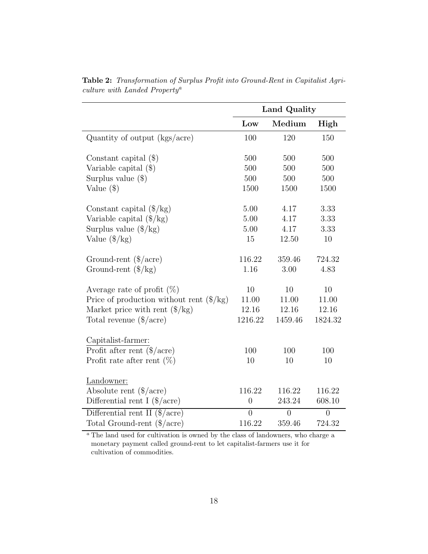|                                                                    | Land Quality   |          |                |
|--------------------------------------------------------------------|----------------|----------|----------------|
|                                                                    | Low            | Medium   | High           |
| Quantity of output (kgs/acre)                                      | 100            | 120      | 150            |
| Constant capital $(\$)$                                            | 500            | 500      | 500            |
| Variable capital $(\$)$                                            | 500            | 500      | 500            |
| Surplus value $(\$)$                                               | 500            | 500      | 500            |
| Value $(\$)$                                                       | 1500           | 1500     | 1500           |
| Constant capital $(\frac{8}{kg})$                                  | 5.00           | 4.17     | 3.33           |
| Variable capital $(\frac{6}{kg})$                                  | 5.00           | 4.17     | 3.33           |
| Surplus value $(\frac{8}{kg})$                                     | 5.00           | 4.17     | 3.33           |
| Value $(\frac{6}{kg})$                                             | 15             | 12.50    | 10             |
| Ground-rent $(\frac{4}{\text{a} \cdot \text{c} \cdot \text{c}})$   | 116.22         | 359.46   | 724.32         |
| Ground-rent $(\frac{6}{kg})$                                       | 1.16           | 3.00     | 4.83           |
| Average rate of profit $(\%)$                                      | 10             | 10       | 10             |
| Price of production without rent $(\frac{6}{kg})$                  | 11.00          | 11.00    | 11.00          |
| Market price with rent $(\frac{6}{kg})$                            | 12.16          | 12.16    | 12.16          |
| Total revenue $(\frac{4}{\text{a} \cdot \text{c} \cdot \text{c}})$ | 1216.22        | 1459.46  | 1824.32        |
| Capitalist-farmer:                                                 |                |          |                |
| Profit after rent $(\frac{4}{\alpha})$                             | 100            | 100      | 100            |
| Profit rate after rent $(\%)$                                      | 10             | 10       | 10             |
| Landowner:                                                         |                |          |                |
| Absolute rent $(\frac{2}{\alpha})$                                 | 116.22         | 116.22   | 116.22         |
| Differential rent I $(\frac{4}{\text{a} \cdot \text{c}e})$         | $\overline{0}$ | 243.24   | 608.10         |
| Differential rent II $(\frac{4}{\alpha})$                          | $\overline{0}$ | $\theta$ | $\overline{0}$ |
| Total Ground-rent $(\frac{4}{\alpha})$                             | 116.22         | 359.46   | 724.32         |

Table 2: Transformation of Surplus Profit into Ground-Rent in Capitalist Agriculture with Landed Property<sup>a</sup>

<sup>a</sup> The land used for cultivation is owned by the class of landowners, who charge a monetary payment called ground-rent to let capitalist-farmers use it for cultivation of commodities.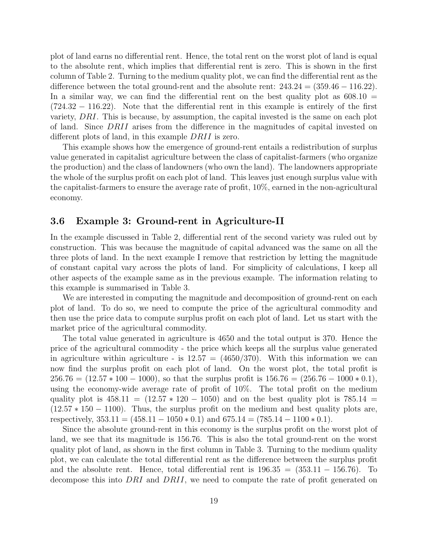plot of land earns no differential rent. Hence, the total rent on the worst plot of land is equal to the absolute rent, which implies that differential rent is zero. This is shown in the first column of Table 2. Turning to the medium quality plot, we can find the differential rent as the difference between the total ground-rent and the absolute rent:  $243.24 = (359.46 - 116.22)$ . In a similar way, we can find the differential rent on the best quality plot as  $608.10 =$ (724.32 − 116.22). Note that the differential rent in this example is entirely of the first variety, DRI. This is because, by assumption, the capital invested is the same on each plot of land. Since DRII arises from the difference in the magnitudes of capital invested on different plots of land, in this example DRII is zero.

This example shows how the emergence of ground-rent entails a redistribution of surplus value generated in capitalist agriculture between the class of capitalist-farmers (who organize the production) and the class of landowners (who own the land). The landowners appropriate the whole of the surplus profit on each plot of land. This leaves just enough surplus value with the capitalist-farmers to ensure the average rate of profit, 10%, earned in the non-agricultural economy.

#### 3.6 Example 3: Ground-rent in Agriculture-II

In the example discussed in Table 2, differential rent of the second variety was ruled out by construction. This was because the magnitude of capital advanced was the same on all the three plots of land. In the next example I remove that restriction by letting the magnitude of constant capital vary across the plots of land. For simplicity of calculations, I keep all other aspects of the example same as in the previous example. The information relating to this example is summarised in Table 3.

We are interested in computing the magnitude and decomposition of ground-rent on each plot of land. To do so, we need to compute the price of the agricultural commodity and then use the price data to compute surplus profit on each plot of land. Let us start with the market price of the agricultural commodity.

The total value generated in agriculture is 4650 and the total output is 370. Hence the price of the agricultural commodity - the price which keeps all the surplus value generated in agriculture within agriculture - is  $12.57 = (4650/370)$ . With this information we can now find the surplus profit on each plot of land. On the worst plot, the total profit is  $256.76 = (12.57 * 100 - 1000)$ , so that the surplus profit is  $156.76 = (256.76 - 1000 * 0.1)$ , using the economy-wide average rate of profit of 10%. The total profit on the medium quality plot is  $458.11 = (12.57 * 120 - 1050)$  and on the best quality plot is  $785.14$  $(12.57 * 150 - 1100)$ . Thus, the surplus profit on the medium and best quality plots are, respectively,  $353.11 = (458.11 - 1050 * 0.1)$  and  $675.14 = (785.14 - 1100 * 0.1)$ .

Since the absolute ground-rent in this economy is the surplus profit on the worst plot of land, we see that its magnitude is 156.76. This is also the total ground-rent on the worst quality plot of land, as shown in the first column in Table 3. Turning to the medium quality plot, we can calculate the total differential rent as the difference between the surplus profit and the absolute rent. Hence, total differential rent is  $196.35 = (353.11 - 156.76)$ . To decompose this into DRI and DRII, we need to compute the rate of profit generated on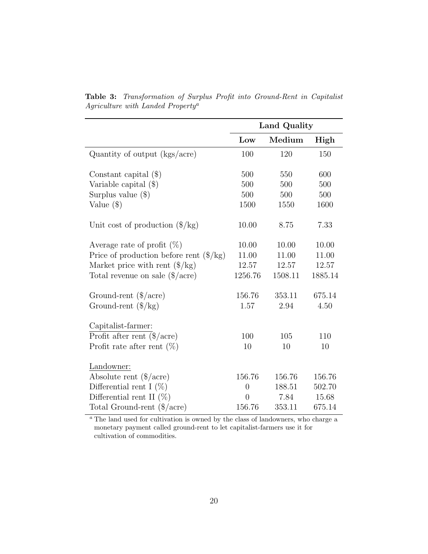|                                                                        | Land Quality   |         |         |
|------------------------------------------------------------------------|----------------|---------|---------|
|                                                                        | Low            | Medium  | High    |
| Quantity of output (kgs/acre)                                          | 100            | 120     | 150     |
| Constant capital $(\$)$                                                | 500            | 550     | 600     |
| Variable capital $(\$)$                                                | 500            | 500     | 500     |
| Surplus value $(\$)$                                                   | 500            | 500     | 500     |
| Value $(\$)$                                                           | 1500           | 1550    | 1600    |
| Unit cost of production $(\frac{1}{8}$ /kg)                            | 10.00          | 8.75    | 7.33    |
| Average rate of profit $(\%)$                                          | 10.00          | 10.00   | 10.00   |
| Price of production before rent $(\frac{4}{\text{kg}})$                | 11.00          | 11.00   | 11.00   |
| Market price with rent $(\frac{6}{kg})$                                | 12.57          | 12.57   | 12.57   |
| Total revenue on sale $(\frac{4}{\alpha})$                             | 1256.76        | 1508.11 | 1885.14 |
| Ground-rent $(\frac{4}{\text{a} \cdot \text{c} \cdot \text{c}})$       | 156.76         | 353.11  | 675.14  |
| Ground-rent $(\frac{6}{kg})$                                           | 1.57           | 2.94    | 4.50    |
| Capitalist-farmer:                                                     |                |         |         |
| Profit after rent $(\frac{4}{\sqrt{3}})$                               | 100            | 105     | 110     |
| Profit rate after rent $(\%)$                                          | 10             | 10      | $10\,$  |
| Landowner:                                                             |                |         |         |
| Absolute rent $(\frac{4}{\text{acre}})$                                | 156.76         | 156.76  | 156.76  |
| Differential rent I $(\%)$                                             | $\overline{0}$ | 188.51  | 502.70  |
| Differential rent II $(\%)$                                            | $\theta$       | 7.84    | 15.68   |
| Total Ground-rent $(\frac{4}{\text{a} \cdot \text{c} \cdot \text{c}})$ | 156.76         | 353.11  | 675.14  |

Table 3: Transformation of Surplus Profit into Ground-Rent in Capitalist Agriculture with Landed Property<sup>a</sup>

 $a$ <sup>n</sup> The land used for cultivation is owned by the class of landowners, who charge a monetary payment called ground-rent to let capitalist-farmers use it for cultivation of commodities.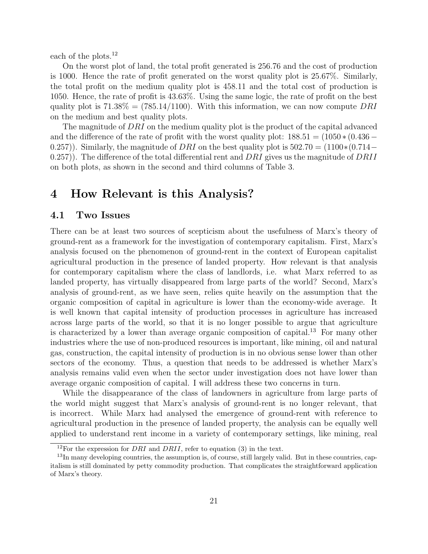each of the plots.<sup>12</sup>

On the worst plot of land, the total profit generated is 256.76 and the cost of production is 1000. Hence the rate of profit generated on the worst quality plot is 25.67%. Similarly, the total profit on the medium quality plot is 458.11 and the total cost of production is 1050. Hence, the rate of profit is 43.63%. Using the same logic, the rate of profit on the best quality plot is  $71.38\% = (785.14/1100)$ . With this information, we can now compute DRI on the medium and best quality plots.

The magnitude of DRI on the medium quality plot is the product of the capital advanced and the difference of the rate of profit with the worst quality plot:  $188.51 = (1050 * (0.436 -$ 0.257)). Similarly, the magnitude of DRI on the best quality plot is  $502.70 = (1100*(0.714 -$ 0.257). The difference of the total differential rent and  $DRI$  gives us the magnitude of  $DRII$ on both plots, as shown in the second and third columns of Table 3.

## 4 How Relevant is this Analysis?

### 4.1 Two Issues

There can be at least two sources of scepticism about the usefulness of Marx's theory of ground-rent as a framework for the investigation of contemporary capitalism. First, Marx's analysis focused on the phenomenon of ground-rent in the context of European capitalist agricultural production in the presence of landed property. How relevant is that analysis for contemporary capitalism where the class of landlords, i.e. what Marx referred to as landed property, has virtually disappeared from large parts of the world? Second, Marx's analysis of ground-rent, as we have seen, relies quite heavily on the assumption that the organic composition of capital in agriculture is lower than the economy-wide average. It is well known that capital intensity of production processes in agriculture has increased across large parts of the world, so that it is no longer possible to argue that agriculture is characterized by a lower than average organic composition of capital.<sup>13</sup> For many other industries where the use of non-produced resources is important, like mining, oil and natural gas, construction, the capital intensity of production is in no obvious sense lower than other sectors of the economy. Thus, a question that needs to be addressed is whether Marx's analysis remains valid even when the sector under investigation does not have lower than average organic composition of capital. I will address these two concerns in turn.

While the disappearance of the class of landowners in agriculture from large parts of the world might suggest that Marx's analysis of ground-rent is no longer relevant, that is incorrect. While Marx had analysed the emergence of ground-rent with reference to agricultural production in the presence of landed property, the analysis can be equally well applied to understand rent income in a variety of contemporary settings, like mining, real

<sup>&</sup>lt;sup>12</sup>For the expression for *DRI* and *DRII*, refer to equation (3) in the text.

<sup>&</sup>lt;sup>13</sup>In many developing countries, the assumption is, of course, still largely valid. But in these countries, capitalism is still dominated by petty commodity production. That complicates the straightforward application of Marx's theory.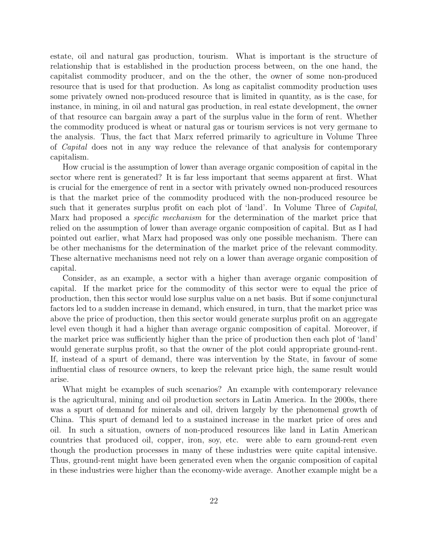estate, oil and natural gas production, tourism. What is important is the structure of relationship that is established in the production process between, on the one hand, the capitalist commodity producer, and on the the other, the owner of some non-produced resource that is used for that production. As long as capitalist commodity production uses some privately owned non-produced resource that is limited in quantity, as is the case, for instance, in mining, in oil and natural gas production, in real estate development, the owner of that resource can bargain away a part of the surplus value in the form of rent. Whether the commodity produced is wheat or natural gas or tourism services is not very germane to the analysis. Thus, the fact that Marx referred primarily to agriculture in Volume Three of Capital does not in any way reduce the relevance of that analysis for contemporary capitalism.

How crucial is the assumption of lower than average organic composition of capital in the sector where rent is generated? It is far less important that seems apparent at first. What is crucial for the emergence of rent in a sector with privately owned non-produced resources is that the market price of the commodity produced with the non-produced resource be such that it generates surplus profit on each plot of 'land'. In Volume Three of *Capital*, Marx had proposed a specific mechanism for the determination of the market price that relied on the assumption of lower than average organic composition of capital. But as I had pointed out earlier, what Marx had proposed was only one possible mechanism. There can be other mechanisms for the determination of the market price of the relevant commodity. These alternative mechanisms need not rely on a lower than average organic composition of capital.

Consider, as an example, a sector with a higher than average organic composition of capital. If the market price for the commodity of this sector were to equal the price of production, then this sector would lose surplus value on a net basis. But if some conjunctural factors led to a sudden increase in demand, which ensured, in turn, that the market price was above the price of production, then this sector would generate surplus profit on an aggregate level even though it had a higher than average organic composition of capital. Moreover, if the market price was sufficiently higher than the price of production then each plot of 'land' would generate surplus profit, so that the owner of the plot could appropriate ground-rent. If, instead of a spurt of demand, there was intervention by the State, in favour of some influential class of resource owners, to keep the relevant price high, the same result would arise.

What might be examples of such scenarios? An example with contemporary relevance is the agricultural, mining and oil production sectors in Latin America. In the 2000s, there was a spurt of demand for minerals and oil, driven largely by the phenomenal growth of China. This spurt of demand led to a sustained increase in the market price of ores and oil. In such a situation, owners of non-produced resources like land in Latin American countries that produced oil, copper, iron, soy, etc. were able to earn ground-rent even though the production processes in many of these industries were quite capital intensive. Thus, ground-rent might have been generated even when the organic composition of capital in these industries were higher than the economy-wide average. Another example might be a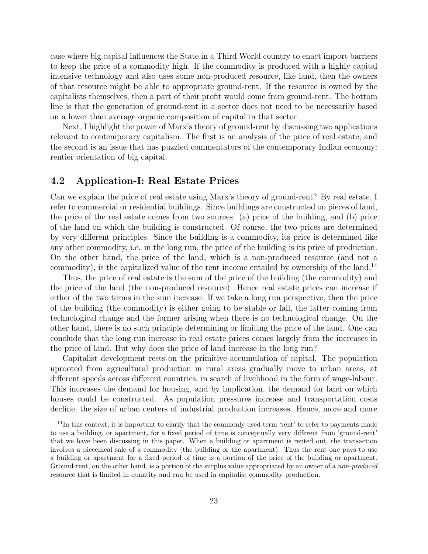case where big capital influences the State in a Third World country to enact import barriers to keep the price of a commodity high. If the commodity is produced with a highly capital intensive technology and also uses some non-produced resource, like land, then the owners of that resource might be able to appropriate ground-rent. If the resource is owned by the capitalists themselves, then a part of their profit would come from ground-rent. The bottom line is that the generation of ground-rent in a sector does not need to be necessarily based on a lower than average organic composition of capital in that sector.

Next, I highlight the power of Marx's theory of ground-rent by discussing two applications relevant to contemporary capitalism. The first is an analysis of the price of real estate; and the second is an issue that has puzzled commentators of the contemporary Indian economy: rentier orientation of big capital.

#### 4.2 Application-I: Real Estate Prices

Can we explain the price of real estate using Marx's theory of ground-rent? By real estate, I refer to commercial or residential buildings. Since buildings are constructed on pieces of land, the price of the real estate comes from two sources: (a) price of the building, and (b) price of the land on which the building is constructed. Of course, the two prices are determined by very different principles. Since the building is a commodity, its price is determined like any other commodity, i.e. in the long run, the price of the building is its price of production. On the other hand, the price of the land, which is a non-produced resource (and not a commodity), is the capitalized value of the rent income entailed by ownership of the land.<sup>14</sup>

Thus, the price of real estate is the sum of the price of the building (the commodity) and the price of the land (the non-produced resource). Hence real estate prices can increase if either of the two terms in the sum increase. If we take a long run perspective, then the price of the building (the commodity) is either going to be stable or fall, the latter coming from technological change and the former arising when there is no technological change. On the other hand, there is no such principle determining or limiting the price of the land. One can conclude that the long run increase in real estate prices comes largely from the increases in the price of land. But why does the price of land increase in the long run?

Capitalist development rests on the primitive accumulation of capital. The population uprooted from agricultural production in rural areas gradually move to urban areas, at different speeds across different countries, in search of livelihood in the form of wage-labour. This increases the demand for housing, and by implication, the demand for land on which houses could be constructed. As population pressures increase and transportation costs decline, the size of urban centers of industrial production increases. Hence, more and more

 $14$ In this context, it is important to clarify that the commonly used term 'rent' to refer to payments made to use a building, or apartment, for a fixed period of time is conceptually very different from 'ground-rent' that we have been discussing in this paper. When a building or apartment is rented out, the transaction involves a piecemeal sale of a commodity (the building or the apartment). Thus the rent one pays to use a building or apartment for a fixed period of time is a portion of the price of the building or apartment. Ground-rent, on the other hand, is a portion of the surplus value appropriated by an owner of a non-produced resource that is limited in quantity and can be used in capitalist commodity production.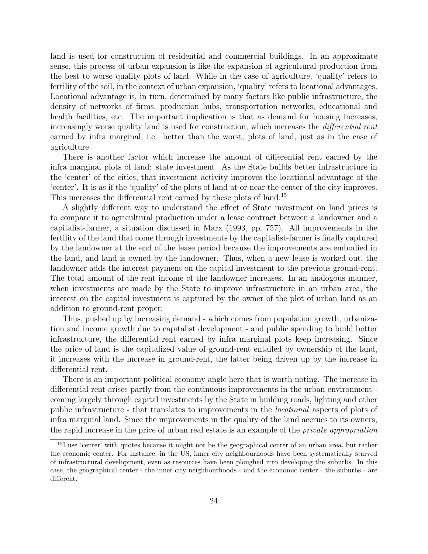land is used for construction of residential and commercial buildings. In an approximate sense, this process of urban expansion is like the expansion of agricultural production from the best to worse quality plots of land. While in the case of agriculture, 'quality' refers to fertility of the soil, in the context of urban expansion, 'quality' refers to locational advantages. Locational advantage is, in turn, determined by many factors like public infrastructure, the density of networks of firms, production hubs, transportation networks, educational and health facilities, etc. The important implication is that as demand for housing increases, increasingly worse quality land is used for construction, which increases the *differential rent* earned by infra marginal, i.e. better than the worst, plots of land, just as in the case of agriculture.

There is another factor which increase the amount of differential rent earned by the infra marginal plots of land: state investment. As the State builds better infrastructure in the 'center' of the cities, that investment activity improves the locational advantage of the 'center'. It is as if the 'quality' of the plots of land at or near the center of the city improves. This increases the differential rent earned by these plots of land.<sup>15</sup>

A slightly different way to understand the effect of State investment on land prices is to compare it to agricultural production under a lease contract between a landowner and a capitalist-farmer, a situation discussed in Marx (1993, pp. 757). All improvements in the fertility of the land that come through investments by the capitalist-farmer is finally captured by the landowner at the end of the lease period because the improvements are embodied in the land, and land is owned by the landowner. Thus, when a new lease is worked out, the landowner adds the interest payment on the capital investment to the previous ground-rent. The total amount of the rent income of the landowner increases. In an analogous manner, when investments are made by the State to improve infrastructure in an urban area, the interest on the capital investment is captured by the owner of the plot of urban land as an addition to ground-rent proper.

Thus, pushed up by increasing demand - which comes from population growth, urbanization and income growth due to capitalist development - and public spending to build better infrastructure, the differential rent earned by infra marginal plots keep increasing. Since the price of land is the capitalized value of ground-rent entailed by ownership of the land, it increases with the increase in ground-rent, the latter being driven up by the increase in differential rent.

There is an important political economy angle here that is worth noting. The increase in differential rent arises partly from the continuous improvements in the urban environment coming largely through capital investments by the State in building roads, lighting and other public infrastructure - that translates to improvements in the locational aspects of plots of infra marginal land. Since the improvements in the quality of the land accrues to its owners, the rapid increase in the price of urban real estate is an example of the private appropriation

<sup>&</sup>lt;sup>15</sup>I use 'center' with quotes because it might not be the geographical center of an urban area, but rather the economic center. For instance, in the US, inner city neighbourhoods have been systematically starved of infrastructural development, even as resources have been ploughed into developing the suburbs. In this case, the geographical center - the inner city neighbourhoods - and the economic center - the suburbs - are different.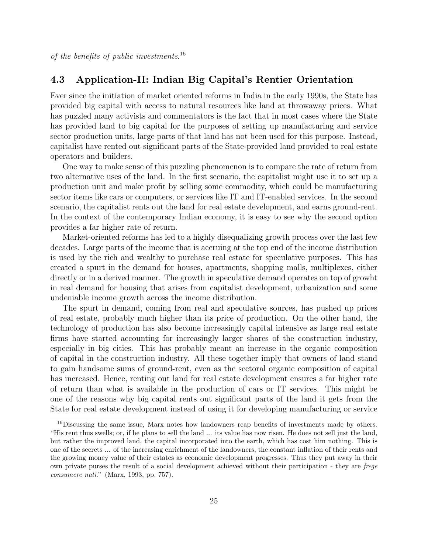### 4.3 Application-II: Indian Big Capital's Rentier Orientation

Ever since the initiation of market oriented reforms in India in the early 1990s, the State has provided big capital with access to natural resources like land at throwaway prices. What has puzzled many activists and commentators is the fact that in most cases where the State has provided land to big capital for the purposes of setting up manufacturing and service sector production units, large parts of that land has not been used for this purpose. Instead, capitalist have rented out significant parts of the State-provided land provided to real estate operators and builders.

One way to make sense of this puzzling phenomenon is to compare the rate of return from two alternative uses of the land. In the first scenario, the capitalist might use it to set up a production unit and make profit by selling some commodity, which could be manufacturing sector items like cars or computers, or services like IT and IT-enabled services. In the second scenario, the capitalist rents out the land for real estate development, and earns ground-rent. In the context of the contemporary Indian economy, it is easy to see why the second option provides a far higher rate of return.

Market-oriented reforms has led to a highly disequalizing growth process over the last few decades. Large parts of the income that is accruing at the top end of the income distribution is used by the rich and wealthy to purchase real estate for speculative purposes. This has created a spurt in the demand for houses, apartments, shopping malls, multiplexes, either directly or in a derived manner. The growth in speculative demand operates on top of growht in real demand for housing that arises from capitalist development, urbanization and some undeniable income growth across the income distribution.

The spurt in demand, coming from real and speculative sources, has pushed up prices of real estate, probably much higher than its price of production. On the other hand, the technology of production has also become increasingly capital intensive as large real estate firms have started accounting for increasingly larger shares of the construction industry, especially in big cities. This has probably meant an increase in the organic composition of capital in the construction industry. All these together imply that owners of land stand to gain handsome sums of ground-rent, even as the sectoral organic composition of capital has increased. Hence, renting out land for real estate development ensures a far higher rate of return than what is available in the production of cars or IT services. This might be one of the reasons why big capital rents out significant parts of the land it gets from the State for real estate development instead of using it for developing manufacturing or service

<sup>&</sup>lt;sup>16</sup>Discussing the same issue, Marx notes how landowners reap benefits of investments made by others. "His rent thus swells; or, if he plans to sell the land ... its value has now risen. He does not sell just the land, but rather the improved land, the capital incorporated into the earth, which has cost him nothing. This is one of the secrets ... of the increasing enrichment of the landowners, the constant inflation of their rents and the growing money value of their estates as economic development progresses. Thus they put away in their own private purses the result of a social development achieved without their participation - they are frege consumere nati." (Marx, 1993, pp. 757).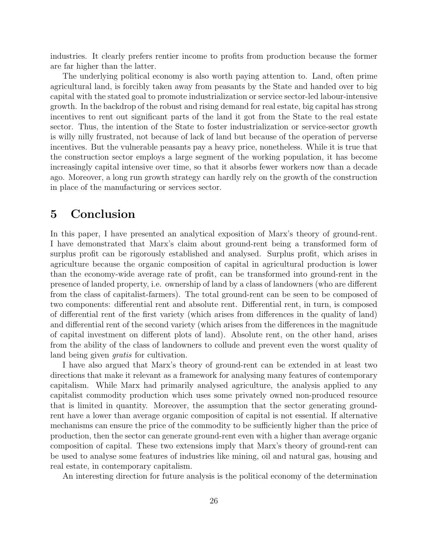industries. It clearly prefers rentier income to profits from production because the former are far higher than the latter.

The underlying political economy is also worth paying attention to. Land, often prime agricultural land, is forcibly taken away from peasants by the State and handed over to big capital with the stated goal to promote industrialization or service sector-led labour-intensive growth. In the backdrop of the robust and rising demand for real estate, big capital has strong incentives to rent out significant parts of the land it got from the State to the real estate sector. Thus, the intention of the State to foster industrialization or service-sector growth is willy nilly frustrated, not because of lack of land but because of the operation of perverse incentives. But the vulnerable peasants pay a heavy price, nonetheless. While it is true that the construction sector employs a large segment of the working population, it has become increasingly capital intensive over time, so that it absorbs fewer workers now than a decade ago. Moreover, a long run growth strategy can hardly rely on the growth of the construction in place of the manufacturing or services sector.

## 5 Conclusion

In this paper, I have presented an analytical exposition of Marx's theory of ground-rent. I have demonstrated that Marx's claim about ground-rent being a transformed form of surplus profit can be rigorously established and analysed. Surplus profit, which arises in agriculture because the organic composition of capital in agricultural production is lower than the economy-wide average rate of profit, can be transformed into ground-rent in the presence of landed property, i.e. ownership of land by a class of landowners (who are different from the class of capitalist-farmers). The total ground-rent can be seen to be composed of two components: differential rent and absolute rent. Differential rent, in turn, is composed of differential rent of the first variety (which arises from differences in the quality of land) and differential rent of the second variety (which arises from the differences in the magnitude of capital investment on different plots of land). Absolute rent, on the other hand, arises from the ability of the class of landowners to collude and prevent even the worst quality of land being given *gratis* for cultivation.

I have also argued that Marx's theory of ground-rent can be extended in at least two directions that make it relevant as a framework for analysing many features of contemporary capitalism. While Marx had primarily analysed agriculture, the analysis applied to any capitalist commodity production which uses some privately owned non-produced resource that is limited in quantity. Moreover, the assumption that the sector generating groundrent have a lower than average organic composition of capital is not essential. If alternative mechanisms can ensure the price of the commodity to be sufficiently higher than the price of production, then the sector can generate ground-rent even with a higher than average organic composition of capital. These two extensions imply that Marx's theory of ground-rent can be used to analyse some features of industries like mining, oil and natural gas, housing and real estate, in contemporary capitalism.

An interesting direction for future analysis is the political economy of the determination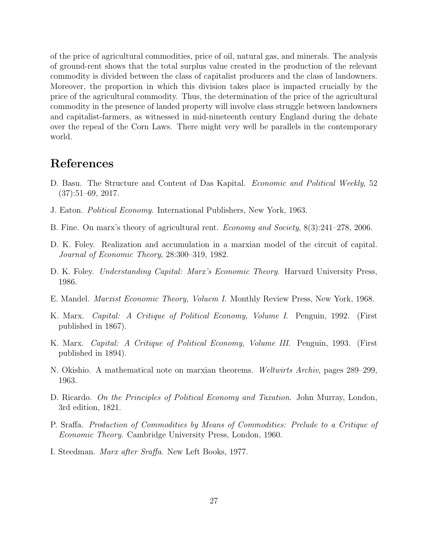of the price of agricultural commodities, price of oil, natural gas, and minerals. The analysis of ground-rent shows that the total surplus value created in the production of the relevant commodity is divided between the class of capitalist producers and the class of landowners. Moreover, the proportion in which this division takes place is impacted crucially by the price of the agricultural commodity. Thus, the determination of the price of the agricultural commodity in the presence of landed property will involve class struggle between landowners and capitalist-farmers, as witnessed in mid-nineteenth century England during the debate over the repeal of the Corn Laws. There might very well be parallels in the contemporary world.

### References

- D. Basu. The Structure and Content of Das Kapital. Economic and Political Weekly, 52  $(37):51–69, 2017.$
- J. Eaton. Political Economy. International Publishers, New York, 1963.
- B. Fine. On marx's theory of agricultural rent. Economy and Society, 8(3):241–278, 2006.
- D. K. Foley. Realization and accumulation in a marxian model of the circuit of capital. Journal of Economic Theory, 28:300–319, 1982.
- D. K. Foley. *Understanding Capital: Marx's Economic Theory*. Harvard University Press, 1986.
- E. Mandel. Marxist Economic Theory, Voluem I. Monthly Review Press, New York, 1968.
- K. Marx. Capital: A Critique of Political Economy, Volume I. Penguin, 1992. (First published in 1867).
- K. Marx. Capital: A Critique of Political Economy, Volume III. Penguin, 1993. (First published in 1894).
- N. Okishio. A mathematical note on marxian theorems. Weltwirts Archiv, pages 289–299, 1963.
- D. Ricardo. On the Principles of Political Economy and Taxation. John Murray, London, 3rd edition, 1821.
- P. Sraffa. Production of Commodities by Means of Commodities: Prelude to a Critique of Economic Theory. Cambridge University Press, London, 1960.
- I. Steedman. Marx after Sraffa. New Left Books, 1977.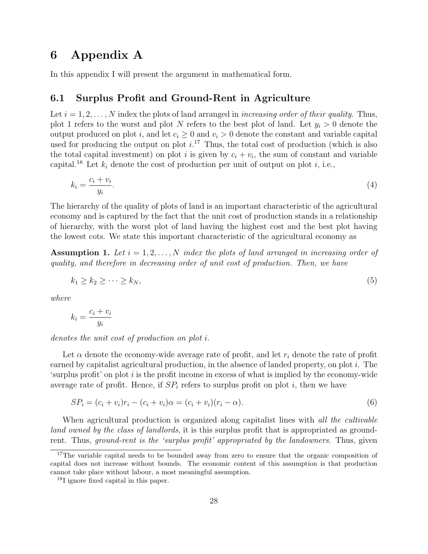## 6 Appendix A

In this appendix I will present the argument in mathematical form.

### 6.1 Surplus Profit and Ground-Rent in Agriculture

Let  $i = 1, 2, \ldots, N$  index the plots of land arranged in *increasing order of their quality*. Thus, plot 1 refers to the worst and plot N refers to the best plot of land. Let  $y_i > 0$  denote the output produced on plot i, and let  $c_i \geq 0$  and  $v_i > 0$  denote the constant and variable capital used for producing the output on plot  $i^{17}$ . Thus, the total cost of production (which is also the total capital investment) on plot i is given by  $c_i + v_i$ , the sum of constant and variable capital.<sup>18</sup> Let  $k_i$  denote the cost of production per unit of output on plot i, i.e.,

$$
k_i = \frac{c_i + v_i}{y_i}.\tag{4}
$$

The hierarchy of the quality of plots of land is an important characteristic of the agricultural economy and is captured by the fact that the unit cost of production stands in a relationship of hierarchy, with the worst plot of land having the highest cost and the best plot having the lowest cots. We state this important characteristic of the agricultural economy as

**Assumption 1.** Let  $i = 1, 2, ..., N$  index the plots of land arranged in increasing order of quality, and therefore in decreasing order of unit cost of production. Then, we have

$$
k_1 \ge k_2 \ge \dots \ge k_N,\tag{5}
$$

where

$$
k_i = \frac{c_i + v_i}{y_i}
$$

denotes the unit cost of production on plot i.

Let  $\alpha$  denote the economy-wide average rate of profit, and let  $r_i$  denote the rate of profit earned by capitalist agricultural production, in the absence of landed property, on plot i. The 'surplus profit' on plot  $i$  is the profit income in excess of what is implied by the economy-wide average rate of profit. Hence, if  $SP_i$  refers to surplus profit on plot i, then we have

$$
SP_i = (c_i + v_i)r_i - (c_i + v_i)\alpha = (c_i + v_i)(r_i - \alpha).
$$
\n(6)

When agricultural production is organized along capitalist lines with *all the cultivable* land owned by the class of landlords, it is this surplus profit that is appropriated as groundrent. Thus, *ground-rent is the 'surplus profit' appropriated by the landowners*. Thus, given

<sup>&</sup>lt;sup>17</sup>The variable capital needs to be bounded away from zero to ensure that the organic composition of capital does not increase without bounds. The economic content of this assumption is that production cannot take place without labour, a most meaningful assumption.

<sup>18</sup>I ignore fixed capital in this paper.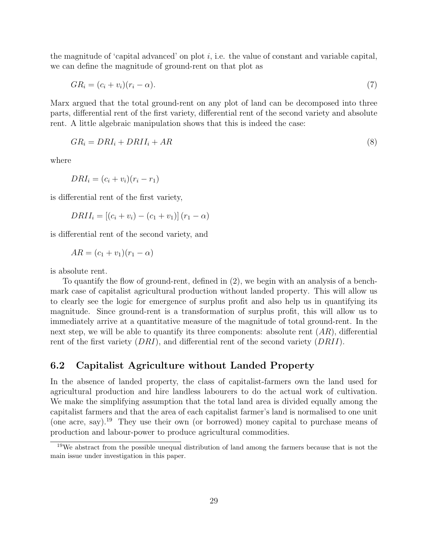the magnitude of 'capital advanced' on plot  $i$ , i.e. the value of constant and variable capital, we can define the magnitude of ground-rent on that plot as

$$
GR_i = (c_i + v_i)(r_i - \alpha). \tag{7}
$$

Marx argued that the total ground-rent on any plot of land can be decomposed into three parts, differential rent of the first variety, differential rent of the second variety and absolute rent. A little algebraic manipulation shows that this is indeed the case:

$$
GR_i = DRI_i + DRII_i + AR \tag{8}
$$

where

$$
DRI_i = (c_i + v_i)(r_i - r_1)
$$

is differential rent of the first variety,

$$
DRII_i = [(c_i + v_i) - (c_1 + v_1)] (r_1 - \alpha)
$$

is differential rent of the second variety, and

$$
AR = (c_1 + v_1)(r_1 - \alpha)
$$

is absolute rent.

To quantify the flow of ground-rent, defined in (2), we begin with an analysis of a benchmark case of capitalist agricultural production without landed property. This will allow us to clearly see the logic for emergence of surplus profit and also help us in quantifying its magnitude. Since ground-rent is a transformation of surplus profit, this will allow us to immediately arrive at a quantitative measure of the magnitude of total ground-rent. In the next step, we will be able to quantify its three components: absolute rent  $(AR)$ , differential rent of the first variety (DRI), and differential rent of the second variety (DRII).

#### 6.2 Capitalist Agriculture without Landed Property

In the absence of landed property, the class of capitalist-farmers own the land used for agricultural production and hire landless labourers to do the actual work of cultivation. We make the simplifying assumption that the total land area is divided equally among the capitalist farmers and that the area of each capitalist farmer's land is normalised to one unit (one acre, say).<sup>19</sup> They use their own (or borrowed) money capital to purchase means of production and labour-power to produce agricultural commodities.

 $19We$  abstract from the possible unequal distribution of land among the farmers because that is not the main issue under investigation in this paper.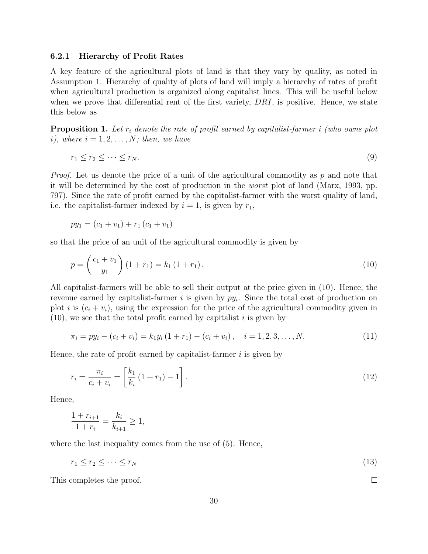#### 6.2.1 Hierarchy of Profit Rates

A key feature of the agricultural plots of land is that they vary by quality, as noted in Assumption 1. Hierarchy of quality of plots of land will imply a hierarchy of rates of profit when agricultural production is organized along capitalist lines. This will be useful below when we prove that differential rent of the first variety,  $DRI$ , is positive. Hence, we state this below as

**Proposition 1.** Let  $r_i$  denote the rate of profit earned by capitalist-farmer i (who owns plot i), where  $i = 1, 2, \ldots, N$ ; then, we have

$$
r_1 \le r_2 \le \dots \le r_N. \tag{9}
$$

*Proof.* Let us denote the price of a unit of the agricultural commodity as  $p$  and note that it will be determined by the cost of production in the worst plot of land (Marx, 1993, pp. 797). Since the rate of profit earned by the capitalist-farmer with the worst quality of land, i.e. the capitalist-farmer indexed by  $i = 1$ , is given by  $r_1$ ,

$$
py_1 = (c_1 + v_1) + r_1 (c_1 + v_1)
$$

so that the price of an unit of the agricultural commodity is given by

$$
p = \left(\frac{c_1 + v_1}{y_1}\right)(1 + r_1) = k_1(1 + r_1).
$$
\n(10)

All capitalist-farmers will be able to sell their output at the price given in (10). Hence, the revenue earned by capitalist-farmer  $i$  is given by  $py_i$ . Since the total cost of production on plot i is  $(c_i + v_i)$ , using the expression for the price of the agricultural commodity given in  $(10)$ , we see that the total profit earned by capitalist i is given by

$$
\pi_i = py_i - (c_i + v_i) = k_1 y_i (1 + r_1) - (c_i + v_i), \quad i = 1, 2, 3, ..., N.
$$
\n(11)

Hence, the rate of profit earned by capitalist-farmer  $i$  is given by

$$
r_i = \frac{\pi_i}{c_i + v_i} = \left[\frac{k_1}{k_i} (1 + r_1) - 1\right].
$$
\n(12)

Hence,

$$
\frac{1 + r_{i+1}}{1 + r_i} = \frac{k_i}{k_{i+1}} \ge 1,
$$

where the last inequality comes from the use of (5). Hence,

$$
r_1 \le r_2 \le \dots \le r_N \tag{13}
$$

 $\Box$ 

This completes the proof.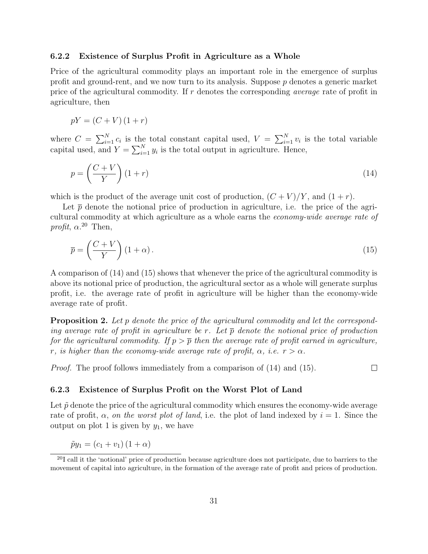#### 6.2.2 Existence of Surplus Profit in Agriculture as a Whole

Price of the agricultural commodity plays an important role in the emergence of surplus profit and ground-rent, and we now turn to its analysis. Suppose  $p$  denotes a generic market price of the agricultural commodity. If r denotes the corresponding average rate of profit in agriculture, then

$$
pY = (C + V)(1 + r)
$$

where  $C = \sum_{i=1}^{N} c_i$  is the total constant capital used,  $V = \sum_{i=1}^{N} v_i$  is the total variable capital used, and  $Y = \sum_{i=1}^{N} y_i$  is the total output in agriculture. Hence,

$$
p = \left(\frac{C+V}{Y}\right)(1+r) \tag{14}
$$

which is the product of the average unit cost of production,  $(C + V)/Y$ , and  $(1 + r)$ .

Let  $\bar{p}$  denote the notional price of production in agriculture, i.e. the price of the agricultural commodity at which agriculture as a whole earns the economy-wide average rate of profit,  $\alpha$ <sup>20</sup> Then,

$$
\overline{p} = \left(\frac{C+V}{Y}\right)(1+\alpha). \tag{15}
$$

A comparison of (14) and (15) shows that whenever the price of the agricultural commodity is above its notional price of production, the agricultural sector as a whole will generate surplus profit, i.e. the average rate of profit in agriculture will be higher than the economy-wide average rate of profit.

**Proposition 2.** Let p denote the price of the agricultural commodity and let the corresponding average rate of profit in agriculture be r. Let  $\bar{p}$  denote the notional price of production for the agricultural commodity. If  $p > \overline{p}$  then the average rate of profit earned in agriculture, r, is higher than the economy-wide average rate of profit,  $\alpha$ , i.e.  $r > \alpha$ .

*Proof.* The proof follows immediately from a comparison of  $(14)$  and  $(15)$ .  $\Box$ 

#### 6.2.3 Existence of Surplus Profit on the Worst Plot of Land

Let  $\tilde{p}$  denote the price of the agricultural commodity which ensures the economy-wide average rate of profit,  $\alpha$ , on the worst plot of land, i.e. the plot of land indexed by  $i = 1$ . Since the output on plot 1 is given by  $y_1$ , we have

$$
\tilde{p}y_1 = (c_1 + v_1)(1 + \alpha)
$$

<sup>&</sup>lt;sup>20</sup>I call it the 'notional' price of production because agriculture does not participate, due to barriers to the movement of capital into agriculture, in the formation of the average rate of profit and prices of production.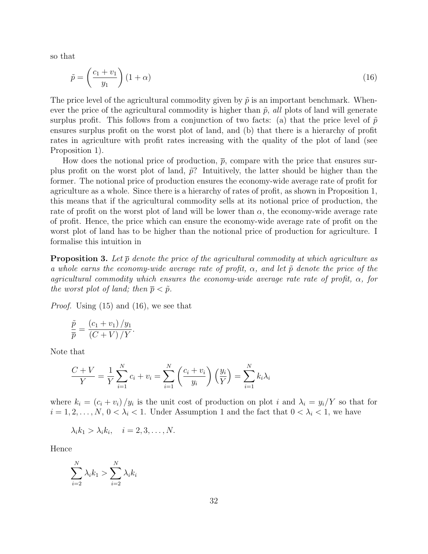so that

$$
\tilde{p} = \left(\frac{c_1 + v_1}{y_1}\right)(1 + \alpha) \tag{16}
$$

The price level of the agricultural commodity given by  $\tilde{p}$  is an important benchmark. Whenever the price of the agricultural commodity is higher than  $\tilde{p}$ , all plots of land will generate surplus profit. This follows from a conjunction of two facts: (a) that the price level of  $\tilde{p}$ ensures surplus profit on the worst plot of land, and (b) that there is a hierarchy of profit rates in agriculture with profit rates increasing with the quality of the plot of land (see Proposition 1).

How does the notional price of production,  $\bar{p}$ , compare with the price that ensures surplus profit on the worst plot of land,  $\tilde{p}$ ? Intuitively, the latter should be higher than the former. The notional price of production ensures the economy-wide average rate of profit for agriculture as a whole. Since there is a hierarchy of rates of profit, as shown in Proposition 1, this means that if the agricultural commodity sells at its notional price of production, the rate of profit on the worst plot of land will be lower than  $\alpha$ , the economy-wide average rate of profit. Hence, the price which can ensure the economy-wide average rate of profit on the worst plot of land has to be higher than the notional price of production for agriculture. I formalise this intuition in

**Proposition 3.** Let  $\bar{p}$  denote the price of the agricultural commodity at which agriculture as a whole earns the economy-wide average rate of profit,  $\alpha$ , and let  $\tilde{p}$  denote the price of the agricultural commodity which ensures the economy-wide average rate rate of profit,  $\alpha$ , for the worst plot of land; then  $\bar{p} < \tilde{p}$ .

Proof. Using (15) and (16), we see that

$$
\frac{\tilde{p}}{\bar{p}} = \frac{(c_1 + v_1)/y_1}{(C + V)/Y}.
$$

Note that

$$
\frac{C+V}{Y} = \frac{1}{Y} \sum_{i=1}^{N} c_i + v_i = \sum_{i=1}^{N} \left( \frac{c_i + v_i}{y_i} \right) \left( \frac{y_i}{Y} \right) = \sum_{i=1}^{N} k_i \lambda_i
$$

where  $k_i = (c_i + v_i)/y_i$  is the unit cost of production on plot i and  $\lambda_i = y_i/Y$  so that for  $i = 1, 2, \ldots, N, 0 < \lambda_i < 1$ . Under Assumption 1 and the fact that  $0 < \lambda_i < 1$ , we have

$$
\lambda_i k_1 > \lambda_i k_i, \quad i = 2, 3, \dots, N.
$$

Hence

$$
\sum_{i=2}^{N} \lambda_i k_1 > \sum_{i=2}^{N} \lambda_i k_i
$$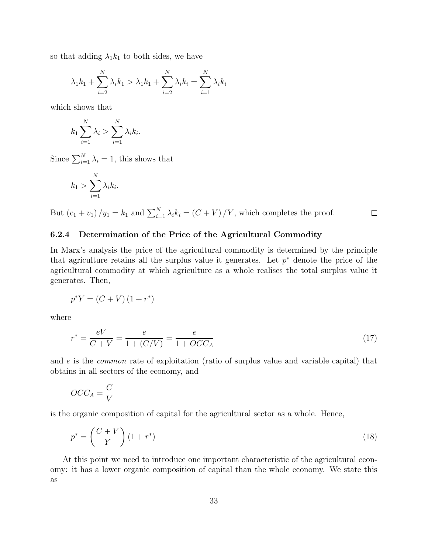so that adding  $\lambda_1 k_1$  to both sides, we have

$$
\lambda_1 k_1 + \sum_{i=2}^{N} \lambda_i k_1 > \lambda_1 k_1 + \sum_{i=2}^{N} \lambda_i k_i = \sum_{i=1}^{N} \lambda_i k_i
$$

which shows that

$$
k_1 \sum_{i=1}^N \lambda_i > \sum_{i=1}^N \lambda_i k_i.
$$

Since  $\sum_{i=1}^{N} \lambda_i = 1$ , this shows that

$$
k_1 > \sum_{i=1}^N \lambda_i k_i.
$$

But  $(c_1 + v_1) / y_1 = k_1$  and  $\sum_{i=1}^{N} \lambda_i k_i = (C + V) / Y$ , which completes the proof.  $\Box$ 

#### 6.2.4 Determination of the Price of the Agricultural Commodity

In Marx's analysis the price of the agricultural commodity is determined by the principle that agriculture retains all the surplus value it generates. Let  $p^*$  denote the price of the agricultural commodity at which agriculture as a whole realises the total surplus value it generates. Then,

$$
p^*Y = (C+V)(1+r^*)
$$

where

$$
r^* = \frac{eV}{C+V} = \frac{e}{1 + (C/V)} = \frac{e}{1 + OCC_A} \tag{17}
$$

and e is the common rate of exploitation (ratio of surplus value and variable capital) that obtains in all sectors of the economy, and

$$
OCC_A = \frac{C}{V}
$$

is the organic composition of capital for the agricultural sector as a whole. Hence,

$$
p^* = \left(\frac{C+V}{Y}\right)(1+r^*)\tag{18}
$$

At this point we need to introduce one important characteristic of the agricultural economy: it has a lower organic composition of capital than the whole economy. We state this as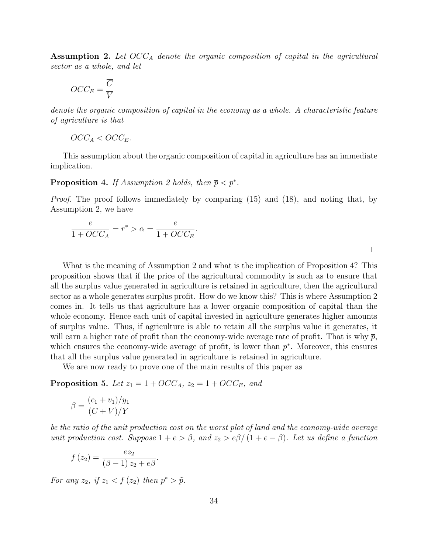**Assumption 2.** Let  $OCC_A$  denote the organic composition of capital in the agricultural sector as a whole, and let

$$
OCC_E = \frac{\overline{C}}{\overline{V}}
$$

denote the organic composition of capital in the economy as a whole. A characteristic feature of agriculture is that

$$
OCC_A < OCC_E.
$$

This assumption about the organic composition of capital in agriculture has an immediate implication.

**Proposition 4.** If Assumption 2 holds, then  $\bar{p} < p^*$ .

Proof. The proof follows immediately by comparing (15) and (18), and noting that, by Assumption 2, we have

$$
\frac{e}{1+OCC_A} = r^* > \alpha = \frac{e}{1+OCC_E}.
$$

What is the meaning of Assumption 2 and what is the implication of Proposition 4? This proposition shows that if the price of the agricultural commodity is such as to ensure that all the surplus value generated in agriculture is retained in agriculture, then the agricultural sector as a whole generates surplus profit. How do we know this? This is where Assumption 2 comes in. It tells us that agriculture has a lower organic composition of capital than the whole economy. Hence each unit of capital invested in agriculture generates higher amounts of surplus value. Thus, if agriculture is able to retain all the surplus value it generates, it will earn a higher rate of profit than the economy-wide average rate of profit. That is why  $\bar{p}$ , which ensures the economy-wide average of profit, is lower than  $p^*$ . Moreover, this ensures that all the surplus value generated in agriculture is retained in agriculture.

We are now ready to prove one of the main results of this paper as

**Proposition 5.** Let  $z_1 = 1 + OCC_A$ ,  $z_2 = 1 + OCC_E$ , and

$$
\beta = \frac{(c_1 + v_1)/y_1}{(C+V)/Y}
$$

be the ratio of the unit production cost on the worst plot of land and the economy-wide average unit production cost. Suppose  $1 + e > \beta$ , and  $z_2 > e\beta/(1 + e - \beta)$ . Let us define a function

$$
f(z_2) = \frac{ez_2}{(\beta - 1) z_2 + e\beta}.
$$

For any  $z_2$ , if  $z_1 < f(z_2)$  then  $p^* > \tilde{p}$ .

 $\Box$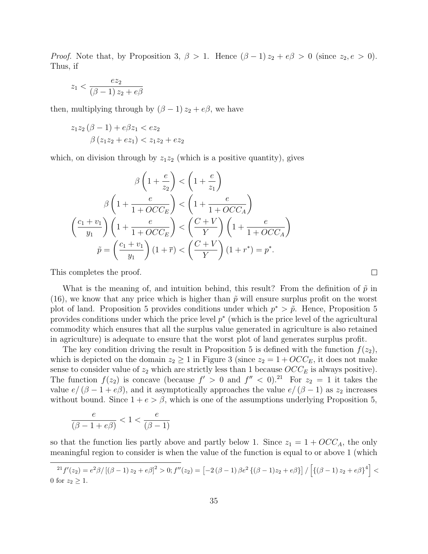*Proof.* Note that, by Proposition 3,  $\beta > 1$ . Hence  $(\beta - 1) z_2 + e \beta > 0$  (since  $z_2, e > 0$ ). Thus, if

$$
z_1 < \frac{ez_2}{(\beta - 1)z_2 + e\beta}
$$

then, multiplying through by  $(\beta - 1) z_2 + e\beta$ , we have

$$
z_1 z_2 (\beta - 1) + e\beta z_1 < e z_2
$$
  
 
$$
\beta (z_1 z_2 + e z_1) < z_1 z_2 + e z_2
$$

which, on division through by  $z_1z_2$  (which is a positive quantity), gives

$$
\beta\left(1+\frac{e}{z_2}\right) < \left(1+\frac{e}{z_1}\right) \\
\beta\left(1+\frac{e}{1+OCC_E}\right) < \left(1+\frac{e}{1+OCC_A}\right) \\
\left(\frac{c_1+v_1}{y_1}\right)\left(1+\frac{e}{1+OCC_E}\right) < \left(\frac{C+V}{Y}\right)\left(1+\frac{e}{1+OCC_A}\right) \\
\tilde{p} = \left(\frac{c_1+v_1}{y_1}\right)(1+\bar{r}) < \left(\frac{C+V}{Y}\right)(1+r^*) = p^*.
$$

This completes the proof.

What is the meaning of, and intuition behind, this result? From the definition of  $\tilde{p}$  in (16), we know that any price which is higher than  $\tilde{p}$  will ensure surplus profit on the worst plot of land. Proposition 5 provides conditions under which  $p^* > \tilde{p}$ . Hence, Proposition 5 provides conditions under which the price level  $p^*$  (which is the price level of the agricultural commodity which ensures that all the surplus value generated in agriculture is also retained in agriculture) is adequate to ensure that the worst plot of land generates surplus profit.

The key condition driving the result in Proposition 5 is defined with the function  $f(z_2)$ , which is depicted on the domain  $z_2 \geq 1$  in Figure 3 (since  $z_2 = 1 + OCC_E$ , it does not make sense to consider value of  $z_2$  which are strictly less than 1 because  $OCC_E$  is always positive). The function  $f(z_2)$  is concave (because  $f' > 0$  and  $f'' < 0$ ).<sup>21</sup> For  $z_2 = 1$  it takes the value  $e/(\beta - 1 + e\beta)$ , and it asymptotically approaches the value  $e/(\beta - 1)$  as  $z_2$  increases without bound. Since  $1 + e > \beta$ , which is one of the assumptions underlying Proposition 5,

$$
\frac{e}{(\beta-1+e\beta)}<1<\frac{e}{(\beta-1)}
$$

so that the function lies partly above and partly below 1. Since  $z_1 = 1 + OCC_A$ , the only meaningful region to consider is when the value of the function is equal to or above 1 (which

 ${}^{21}f'(z_2) = e^2\beta/[(\beta - 1)z_2 + e\beta]^2 > 0; f''(z_2) = [-2(\beta - 1)\beta e^2\{(\beta - 1)z_2 + e\beta\}]/[\{(\beta - 1)z_2 + e\beta\}^4] <$ 0 for  $z_2 \geq 1$ .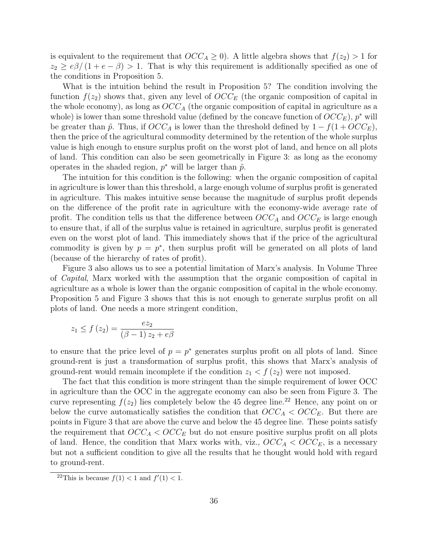is equivalent to the requirement that  $OCC_A \geq 0$ . A little algebra shows that  $f(z_2) > 1$  for  $z_2 \ge e\beta/(1+e-\beta) > 1$ . That is why this requirement is additionally specified as one of the conditions in Proposition 5.

What is the intuition behind the result in Proposition 5? The condition involving the function  $f(z_2)$  shows that, given any level of  $OCC_F$  (the organic composition of capital in the whole economy), as long as  $OCC_A$  (the organic composition of capital in agriculture as a whole) is lower than some threshold value (defined by the concave function of  $OCC_E$ ),  $p^*$  will be greater than  $\tilde{p}$ . Thus, if  $OCC_A$  is lower than the threshold defined by  $1 - f(1 + OCC_E)$ , then the price of the agricultural commodity determined by the retention of the whole surplus value is high enough to ensure surplus profit on the worst plot of land, and hence on all plots of land. This condition can also be seen geometrically in Figure 3: as long as the economy operates in the shaded region,  $p^*$  will be larger than  $\tilde{p}$ .

The intuition for this condition is the following: when the organic composition of capital in agriculture is lower than this threshold, a large enough volume of surplus profit is generated in agriculture. This makes intuitive sense because the magnitude of surplus profit depends on the difference of the profit rate in agriculture with the economy-wide average rate of profit. The condition tells us that the difference between  $OCC<sub>A</sub>$  and  $OCC<sub>E</sub>$  is large enough to ensure that, if all of the surplus value is retained in agriculture, surplus profit is generated even on the worst plot of land. This immediately shows that if the price of the agricultural commodity is given by  $p = p^*$ , then surplus profit will be generated on all plots of land (because of the hierarchy of rates of profit).

Figure 3 also allows us to see a potential limitation of Marx's analysis. In Volume Three of Capital, Marx worked with the assumption that the organic composition of capital in agriculture as a whole is lower than the organic composition of capital in the whole economy. Proposition 5 and Figure 3 shows that this is not enough to generate surplus profit on all plots of land. One needs a more stringent condition,

$$
z_1 \le f(z_2) = \frac{ez_2}{(\beta - 1) z_2 + e\beta}
$$

to ensure that the price level of  $p = p^*$  generates surplus profit on all plots of land. Since ground-rent is just a transformation of surplus profit, this shows that Marx's analysis of ground-rent would remain incomplete if the condition  $z_1 < f(z_2)$  were not imposed.

The fact that this condition is more stringent than the simple requirement of lower OCC in agriculture than the OCC in the aggregate economy can also be seen from Figure 3. The curve representing  $f(z_2)$  lies completely below the 45 degree line.<sup>22</sup> Hence, any point on or below the curve automatically satisfies the condition that  $OCC<sub>A</sub> < OCC<sub>E</sub>$ . But there are points in Figure 3 that are above the curve and below the 45 degree line. These points satisfy the requirement that  $OCC_A < OCC_E$  but do not ensure positive surplus profit on all plots of land. Hence, the condition that Marx works with, viz.,  $OCC_A < OCC_E$ , is a necessary but not a sufficient condition to give all the results that he thought would hold with regard to ground-rent.

<sup>&</sup>lt;sup>22</sup>This is because  $f(1) < 1$  and  $f'(1) < 1$ .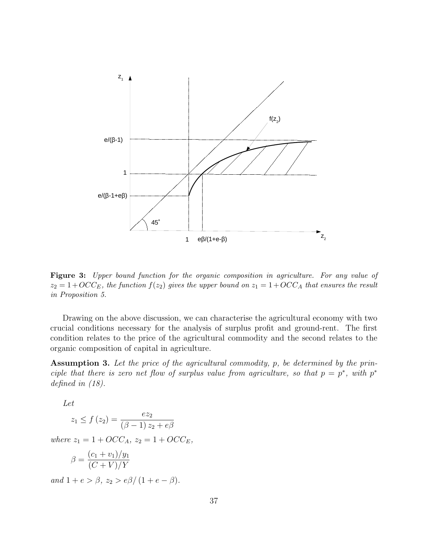

Figure 3: Upper bound function for the organic composition in agriculture. For any value of  $z_2 = 1+OCC_E$ , the function  $f(z_2)$  gives the upper bound on  $z_1 = 1+OCC_A$  that ensures the result in Proposition 5.

Drawing on the above discussion, we can characterise the agricultural economy with two crucial conditions necessary for the analysis of surplus profit and ground-rent. The first condition relates to the price of the agricultural commodity and the second relates to the organic composition of capital in agriculture.

Assumption 3. Let the price of the agricultural commodity, p, be determined by the principle that there is zero net flow of surplus value from agriculture, so that  $p = p^*$ , with  $p^*$ defined in (18).

Let

$$
z_1 \le f(z_2) = \frac{ez_2}{(\beta - 1) z_2 + e\beta}
$$

where  $z_1 = 1 + OCC_A$ ,  $z_2 = 1 + OCC_E$ ,

$$
\beta = \frac{(c_1 + v_1)/y_1}{(C + V)/Y}
$$

and  $1 + e > \beta$ ,  $z_2 > e\beta/(1 + e - \beta)$ .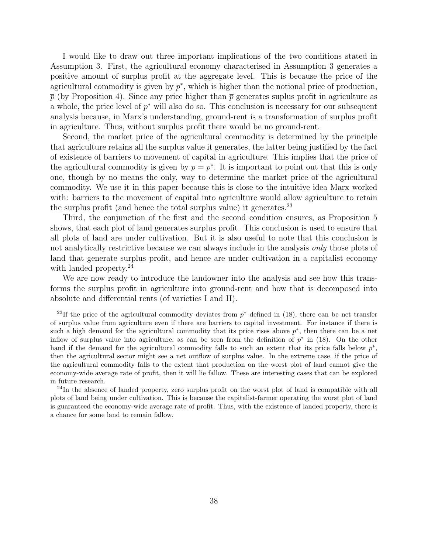I would like to draw out three important implications of the two conditions stated in Assumption 3. First, the agricultural economy characterised in Assumption 3 generates a positive amount of surplus profit at the aggregate level. This is because the price of the agricultural commodity is given by  $p^*$ , which is higher than the notional price of production,  $\bar{p}$  (by Proposition 4). Since any price higher than  $\bar{p}$  generates suplus profit in agriculture as a whole, the price level of  $p^*$  will also do so. This conclusion is necessary for our subsequent analysis because, in Marx's understanding, ground-rent is a transformation of surplus profit in agriculture. Thus, without surplus profit there would be no ground-rent.

Second, the market price of the agricultural commodity is determined by the principle that agriculture retains all the surplus value it generates, the latter being justified by the fact of existence of barriers to movement of capital in agriculture. This implies that the price of the agricultural commodity is given by  $p = p^*$ . It is important to point out that this is only one, though by no means the only, way to determine the market price of the agricultural commodity. We use it in this paper because this is close to the intuitive idea Marx worked with: barriers to the movement of capital into agriculture would allow agriculture to retain the surplus profit (and hence the total surplus value) it generates. $^{23}$ 

Third, the conjunction of the first and the second condition ensures, as Proposition 5 shows, that each plot of land generates surplus profit. This conclusion is used to ensure that all plots of land are under cultivation. But it is also useful to note that this conclusion is not analytically restrictive because we can always include in the analysis *only* those plots of land that generate surplus profit, and hence are under cultivation in a capitalist economy with landed property.<sup>24</sup>

We are now ready to introduce the landowner into the analysis and see how this transforms the surplus profit in agriculture into ground-rent and how that is decomposed into absolute and differential rents (of varieties I and II).

<sup>&</sup>lt;sup>23</sup>If the price of the agricultural commodity deviates from  $p^*$  defined in (18), there can be net transfer of surplus value from agriculture even if there are barriers to capital investment. For instance if there is such a high demand for the agricultural commodity that its price rises above  $p^*$ , then there can be a net inflow of surplus value into agriculture, as can be seen from the definition of  $p^*$  in (18). On the other hand if the demand for the agricultural commodity falls to such an extent that its price falls below  $p^*$ , then the agricultural sector might see a net outflow of surplus value. In the extreme case, if the price of the agricultural commodity falls to the extent that production on the worst plot of land cannot give the economy-wide average rate of profit, then it will lie fallow. These are interesting cases that can be explored in future research.

<sup>&</sup>lt;sup>24</sup>In the absence of landed property, zero surplus profit on the worst plot of land is compatible with all plots of land being under cultivation. This is because the capitalist-farmer operating the worst plot of land is guaranteed the economy-wide average rate of profit. Thus, with the existence of landed property, there is a chance for some land to remain fallow.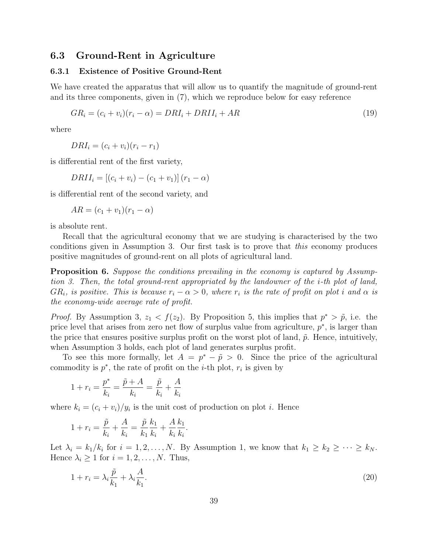#### 6.3 Ground-Rent in Agriculture

#### 6.3.1 Existence of Positive Ground-Rent

We have created the apparatus that will allow us to quantify the magnitude of ground-rent and its three components, given in (7), which we reproduce below for easy reference

$$
GR_i = (c_i + v_i)(r_i - \alpha) = DRI_i + DRII_i + AR \tag{19}
$$

where

 $DRI_i = (c_i + v_i)(r_i - r_1)$ 

is differential rent of the first variety,

$$
DRII_i = [(c_i + v_i) - (c_1 + v_1)] (r_1 - \alpha)
$$

is differential rent of the second variety, and

$$
AR = (c_1 + v_1)(r_1 - \alpha)
$$

is absolute rent.

Recall that the agricultural economy that we are studying is characterised by the two conditions given in Assumption 3. Our first task is to prove that this economy produces positive magnitudes of ground-rent on all plots of agricultural land.

**Proposition 6.** Suppose the conditions prevailing in the economy is captured by Assumption 3. Then, the total ground-rent appropriated by the landowner of the i-th plot of land,  $GR_i$ , is positive. This is because  $r_i - \alpha > 0$ , where  $r_i$  is the rate of profit on plot i and  $\alpha$  is the economy-wide average rate of profit.

*Proof.* By Assumption 3,  $z_1 < f(z_2)$ . By Proposition 5, this implies that  $p^* > \tilde{p}$ , i.e. the price level that arises from zero net flow of surplus value from agriculture,  $p^*$ , is larger than the price that ensures positive surplus profit on the worst plot of land,  $\tilde{p}$ . Hence, intuitively, when Assumption 3 holds, each plot of land generates surplus profit.

To see this more formally, let  $A = p^* - \tilde{p} > 0$ . Since the price of the agricultural commodity is  $p^*$ , the rate of profit on the *i*-th plot,  $r_i$  is given by

$$
1 + r_i = \frac{p^*}{k_i} = \frac{\tilde{p} + A}{k_i} = \frac{\tilde{p}}{k_i} + \frac{A}{k_i}
$$

where  $k_i = (c_i + v_i)/y_i$  is the unit cost of production on plot *i*. Hence

$$
1 + r_i = \frac{\tilde{p}}{k_i} + \frac{A}{k_i} = \frac{\tilde{p}}{k_1} \frac{k_1}{k_i} + \frac{A}{k_i} \frac{k_1}{k_i}.
$$

Let  $\lambda_i = k_1/k_i$  for  $i = 1, 2, ..., N$ . By Assumption 1, we know that  $k_1 \geq k_2 \geq \cdots \geq k_N$ . Hence  $\lambda_i \geq 1$  for  $i = 1, 2, ..., N$ . Thus,

$$
1 + r_i = \lambda_i \frac{\tilde{p}}{k_1} + \lambda_i \frac{A}{k_1}.\tag{20}
$$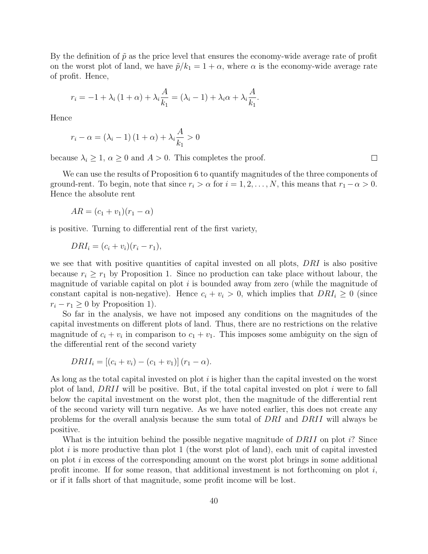By the definition of  $\tilde{p}$  as the price level that ensures the economy-wide average rate of profit on the worst plot of land, we have  $\tilde{p}/k_1 = 1 + \alpha$ , where  $\alpha$  is the economy-wide average rate of profit. Hence,

$$
r_i = -1 + \lambda_i (1 + \alpha) + \lambda_i \frac{A}{k_1} = (\lambda_i - 1) + \lambda_i \alpha + \lambda_i \frac{A}{k_1}.
$$

Hence

$$
r_i - \alpha = (\lambda_i - 1) (1 + \alpha) + \lambda_i \frac{A}{k_1} > 0
$$

because  $\lambda_i \geq 1$ ,  $\alpha \geq 0$  and  $A > 0$ . This completes the proof.

We can use the results of Proposition 6 to quantify magnitudes of the three components of ground-rent. To begin, note that since  $r_i > \alpha$  for  $i = 1, 2, \ldots, N$ , this means that  $r_1 - \alpha > 0$ . Hence the absolute rent

$$
AR = (c_1 + v_1)(r_1 - \alpha)
$$

is positive. Turning to differential rent of the first variety,

$$
DRI_i = (c_i + v_i)(r_i - r_1),
$$

we see that with positive quantities of capital invested on all plots, DRI is also positive because  $r_i \geq r_1$  by Proposition 1. Since no production can take place without labour, the magnitude of variable capital on plot  $i$  is bounded away from zero (while the magnitude of constant capital is non-negative). Hence  $c_i + v_i > 0$ , which implies that  $DRI_i \geq 0$  (since  $r_i - r_1 \geq 0$  by Proposition 1).

So far in the analysis, we have not imposed any conditions on the magnitudes of the capital investments on different plots of land. Thus, there are no restrictions on the relative magnitude of  $c_i + v_i$  in comparison to  $c_1 + v_1$ . This imposes some ambiguity on the sign of the differential rent of the second variety

$$
DRII_i = [(c_i + v_i) - (c_1 + v_1)] (r_1 - \alpha).
$$

As long as the total capital invested on plot  $i$  is higher than the capital invested on the worst plot of land,  $DRII$  will be positive. But, if the total capital invested on plot i were to fall below the capital investment on the worst plot, then the magnitude of the differential rent of the second variety will turn negative. As we have noted earlier, this does not create any problems for the overall analysis because the sum total of DRI and DRII will always be positive.

What is the intuition behind the possible negative magnitude of DRII on plot i? Since plot  $i$  is more productive than plot 1 (the worst plot of land), each unit of capital invested on plot  $i$  in excess of the corresponding amount on the worst plot brings in some additional profit income. If for some reason, that additional investment is not forthcoming on plot  $i$ , or if it falls short of that magnitude, some profit income will be lost.

 $\Box$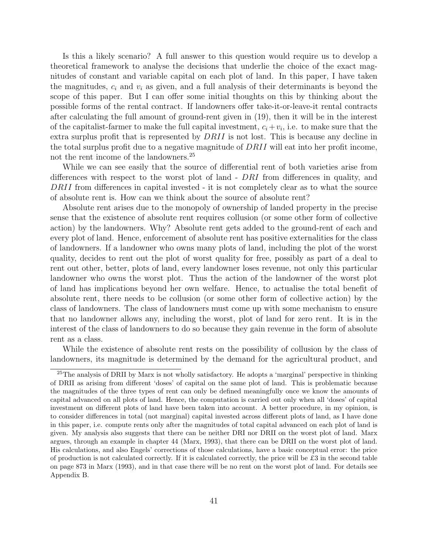Is this a likely scenario? A full answer to this question would require us to develop a theoretical framework to analyse the decisions that underlie the choice of the exact magnitudes of constant and variable capital on each plot of land. In this paper, I have taken the magnitudes,  $c_i$  and  $v_i$  as given, and a full analysis of their determinants is beyond the scope of this paper. But I can offer some initial thoughts on this by thinking about the possible forms of the rental contract. If landowners offer take-it-or-leave-it rental contracts after calculating the full amount of ground-rent given in (19), then it will be in the interest of the capitalist-farmer to make the full capital investment,  $c_i + v_i$ , i.e. to make sure that the extra surplus profit that is represented by DRII is not lost. This is because any decline in the total surplus profit due to a negative magnitude of DRII will eat into her profit income, not the rent income of the landowners.<sup>25</sup>

While we can see easily that the source of differential rent of both varieties arise from differences with respect to the worst plot of land - DRI from differences in quality, and DRII from differences in capital invested - it is not completely clear as to what the source of absolute rent is. How can we think about the source of absolute rent?

Absolute rent arises due to the monopoly of ownership of landed property in the precise sense that the existence of absolute rent requires collusion (or some other form of collective action) by the landowners. Why? Absolute rent gets added to the ground-rent of each and every plot of land. Hence, enforcement of absolute rent has positive externalities for the class of landowners. If a landowner who owns many plots of land, including the plot of the worst quality, decides to rent out the plot of worst quality for free, possibly as part of a deal to rent out other, better, plots of land, every landowner loses revenue, not only this particular landowner who owns the worst plot. Thus the action of the landowner of the worst plot of land has implications beyond her own welfare. Hence, to actualise the total benefit of absolute rent, there needs to be collusion (or some other form of collective action) by the class of landowners. The class of landowners must come up with some mechanism to ensure that no landowner allows any, including the worst, plot of land for zero rent. It is in the interest of the class of landowners to do so because they gain revenue in the form of absolute rent as a class.

While the existence of absolute rent rests on the possibility of collusion by the class of landowners, its magnitude is determined by the demand for the agricultural product, and

<sup>&</sup>lt;sup>25</sup>The analysis of DRII by Marx is not wholly satisfactory. He adopts a 'marginal' perspective in thinking of DRII as arising from different 'doses' of capital on the same plot of land. This is problematic because the magnitudes of the three types of rent can only be defined meaningfully once we know the amounts of capital advanced on all plots of land. Hence, the computation is carried out only when all 'doses' of capital investment on different plots of land have been taken into account. A better procedure, in my opinion, is to consider differences in total (not marginal) capital invested across different plots of land, as I have done in this paper, i.e. compute rents only after the magnitudes of total capital advanced on each plot of land is given. My analysis also suggests that there can be neither DRI nor DRII on the worst plot of land. Marx argues, through an example in chapter 44 (Marx, 1993), that there can be DRII on the worst plot of land. His calculations, and also Engels' corrections of those calculations, have a basic conceptual error: the price of production is not calculated correctly. If it is calculated correctly, the price will be £3 in the second table on page 873 in Marx (1993), and in that case there will be no rent on the worst plot of land. For details see Appendix B.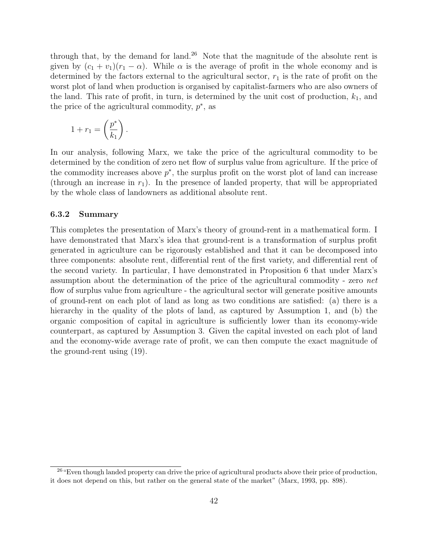through that, by the demand for land.<sup>26</sup> Note that the magnitude of the absolute rent is given by  $(c_1 + v_1)(r_1 - \alpha)$ . While  $\alpha$  is the average of profit in the whole economy and is determined by the factors external to the agricultural sector,  $r_1$  is the rate of profit on the worst plot of land when production is organised by capitalist-farmers who are also owners of the land. This rate of profit, in turn, is determined by the unit cost of production,  $k_1$ , and the price of the agricultural commodity,  $p^*$ , as

$$
1 + r_1 = \left(\frac{p^*}{k_1}\right).
$$

In our analysis, following Marx, we take the price of the agricultural commodity to be determined by the condition of zero net flow of surplus value from agriculture. If the price of the commodity increases above  $p^*$ , the surplus profit on the worst plot of land can increase (through an increase in  $r_1$ ). In the presence of landed property, that will be appropriated by the whole class of landowners as additional absolute rent.

#### 6.3.2 Summary

This completes the presentation of Marx's theory of ground-rent in a mathematical form. I have demonstrated that Marx's idea that ground-rent is a transformation of surplus profit generated in agriculture can be rigorously established and that it can be decomposed into three components: absolute rent, differential rent of the first variety, and differential rent of the second variety. In particular, I have demonstrated in Proposition 6 that under Marx's assumption about the determination of the price of the agricultural commodity - zero net flow of surplus value from agriculture - the agricultural sector will generate positive amounts of ground-rent on each plot of land as long as two conditions are satisfied: (a) there is a hierarchy in the quality of the plots of land, as captured by Assumption 1, and (b) the organic composition of capital in agriculture is sufficiently lower than its economy-wide counterpart, as captured by Assumption 3. Given the capital invested on each plot of land and the economy-wide average rate of profit, we can then compute the exact magnitude of the ground-rent using (19).

<sup>&</sup>lt;sup>26</sup> "Even though landed property can drive the price of agricultural products above their price of production, it does not depend on this, but rather on the general state of the market" (Marx, 1993, pp. 898).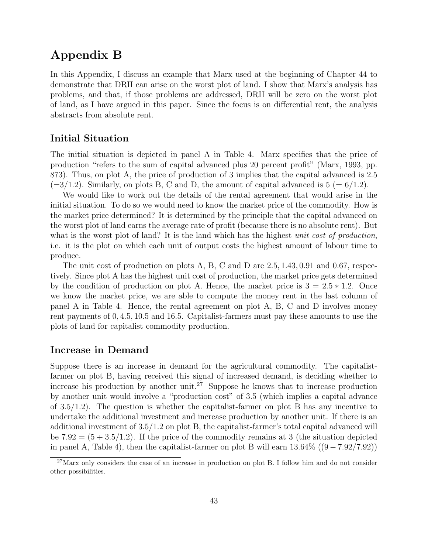## Appendix B

In this Appendix, I discuss an example that Marx used at the beginning of Chapter 44 to demonstrate that DRII can arise on the worst plot of land. I show that Marx's analysis has problems, and that, if those problems are addressed, DRII will be zero on the worst plot of land, as I have argued in this paper. Since the focus is on differential rent, the analysis abstracts from absolute rent.

### Initial Situation

The initial situation is depicted in panel A in Table 4. Marx specifies that the price of production "refers to the sum of capital advanced plus 20 percent profit" (Marx, 1993, pp. 873). Thus, on plot A, the price of production of 3 implies that the capital advanced is 2.5  $(=3/1.2)$ . Similarly, on plots B, C and D, the amount of capital advanced is  $5 (= 6/1.2)$ .

We would like to work out the details of the rental agreement that would arise in the initial situation. To do so we would need to know the market price of the commodity. How is the market price determined? It is determined by the principle that the capital advanced on the worst plot of land earns the average rate of profit (because there is no absolute rent). But what is the worst plot of land? It is the land which has the highest *unit cost of production*, i.e. it is the plot on which each unit of output costs the highest amount of labour time to produce.

The unit cost of production on plots A, B, C and D are 2.5, 1.43, 0.91 and 0.67, respectively. Since plot A has the highest unit cost of production, the market price gets determined by the condition of production on plot A. Hence, the market price is  $3 = 2.5 * 1.2$ . Once we know the market price, we are able to compute the money rent in the last column of panel A in Table 4. Hence, the rental agreement on plot A, B, C and D involves money rent payments of 0, 4.5, 10.5 and 16.5. Capitalist-farmers must pay these amounts to use the plots of land for capitalist commodity production.

### Increase in Demand

Suppose there is an increase in demand for the agricultural commodity. The capitalistfarmer on plot B, having received this signal of increased demand, is deciding whether to increase his production by another unit.<sup>27</sup> Suppose he knows that to increase production by another unit would involve a "production cost" of 3.5 (which implies a capital advance of  $3.5/1.2$ ). The question is whether the capitalist-farmer on plot B has any incentive to undertake the additional investment and increase production by another unit. If there is an additional investment of 3.5/1.2 on plot B, the capitalist-farmer's total capital advanced will be  $7.92 = (5 + 3.5/1.2)$ . If the price of the commodity remains at 3 (the situation depicted in panel A, Table 4), then the capitalist-farmer on plot B will earn  $13.64\%$  ((9 – 7.92/7.92))

<sup>27</sup>Marx only considers the case of an increase in production on plot B. I follow him and do not consider other possibilities.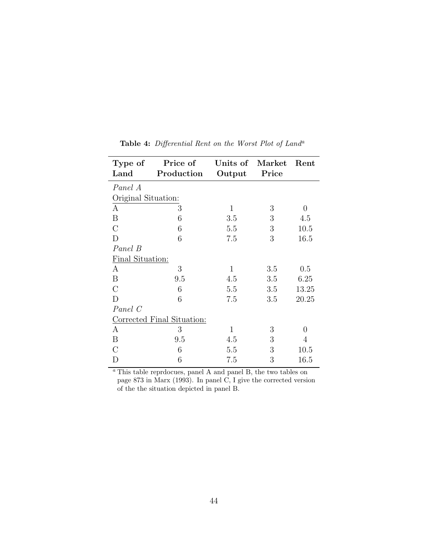| Type of<br>Land            | Price of<br>Production | Units of Market<br>Output | Price | Rent  |
|----------------------------|------------------------|---------------------------|-------|-------|
| Panel A                    |                        |                           |       |       |
| Original Situation:        |                        |                           |       |       |
|                            |                        |                           |       |       |
| А                          | 3                      | $\mathbf{1}$              | 3     | 0     |
| B                          | 6                      | 3.5                       | 3     | 4.5   |
| $\rm C$                    | 6                      | 5.5                       | 3     | 10.5  |
| D                          | 6                      | 7.5                       | 3     | 16.5  |
| Panel B                    |                        |                           |       |       |
| Final Situation:           |                        |                           |       |       |
| А                          | 3                      | $\mathbf{1}$              | 3.5   | 0.5   |
| B                          | 9.5                    | 4.5                       | 3.5   | 6.25  |
| $\rm C$                    | 6                      | 5.5                       | 3.5   | 13.25 |
| D                          | 6                      | 7.5                       | 3.5   | 20.25 |
| Panel C                    |                        |                           |       |       |
| Corrected Final Situation: |                        |                           |       |       |
| А                          | 3                      | $\mathbf{1}$              | 3     | 0     |
| B                          | 9.5                    | 4.5                       | 3     | 4     |
| $\rm C$                    | 6                      | 5.5                       | 3     | 10.5  |
|                            | 6                      | 7.5                       | 3     | 16.5  |

Table 4: Differential Rent on the Worst Plot of Land<sup>a</sup>

<sup>a</sup> This table reprdocues, panel A and panel B, the two tables on page 873 in Marx (1993). In panel C, I give the corrected version of the the situation depicted in panel B.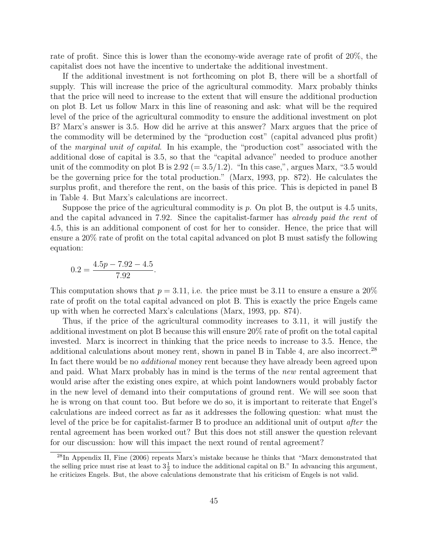rate of profit. Since this is lower than the economy-wide average rate of profit of 20%, the capitalist does not have the incentive to undertake the additional investment.

If the additional investment is not forthcoming on plot B, there will be a shortfall of supply. This will increase the price of the agricultural commodity. Marx probably thinks that the price will need to increase to the extent that will ensure the additional production on plot B. Let us follow Marx in this line of reasoning and ask: what will be the required level of the price of the agricultural commodity to ensure the additional investment on plot B? Marx's answer is 3.5. How did he arrive at this answer? Marx argues that the price of the commodity will be determined by the "production cost" (capital advanced plus profit) of the marginal unit of capital. In his example, the "production cost" associated with the additional dose of capital is 3.5, so that the "capital advance" needed to produce another unit of the commodity on plot B is  $2.92 (= 3.5/1.2)$ . "In this case,", argues Marx, "3.5 would be the governing price for the total production." (Marx, 1993, pp. 872). He calculates the surplus profit, and therefore the rent, on the basis of this price. This is depicted in panel B in Table 4. But Marx's calculations are incorrect.

Suppose the price of the agricultural commodity is  $p$ . On plot B, the output is 4.5 units, and the capital advanced in 7.92. Since the capitalist-farmer has *already paid the rent* of 4.5, this is an additional component of cost for her to consider. Hence, the price that will ensure a 20% rate of profit on the total capital advanced on plot B must satisfy the following equation:

$$
0.2 = \frac{4.5p - 7.92 - 4.5}{7.92}.
$$

This computation shows that  $p = 3.11$ , i.e. the price must be 3.11 to ensure a ensure a 20% rate of profit on the total capital advanced on plot B. This is exactly the price Engels came up with when he corrected Marx's calculations (Marx, 1993, pp. 874).

Thus, if the price of the agricultural commodity increases to 3.11, it will justify the additional investment on plot B because this will ensure 20% rate of profit on the total capital invested. Marx is incorrect in thinking that the price needs to increase to 3.5. Hence, the additional calculations about money rent, shown in panel B in Table 4, are also incorrect.<sup>28</sup> In fact there would be no *additional* money rent because they have already been agreed upon and paid. What Marx probably has in mind is the terms of the new rental agreement that would arise after the existing ones expire, at which point landowners would probably factor in the new level of demand into their computations of ground rent. We will see soon that he is wrong on that count too. But before we do so, it is important to reiterate that Engel's calculations are indeed correct as far as it addresses the following question: what must the level of the price be for capitalist-farmer B to produce an additional unit of output after the rental agreement has been worked out? But this does not still answer the question relevant for our discussion: how will this impact the next round of rental agreement?

<sup>28</sup>In Appendix II, Fine (2006) repeats Marx's mistake because he thinks that "Marx demonstrated that the selling price must rise at least to  $3\frac{1}{2}$  to induce the additional capital on B." In advancing this argument, he criticizes Engels. But, the above calculations demonstrate that his criticism of Engels is not valid.